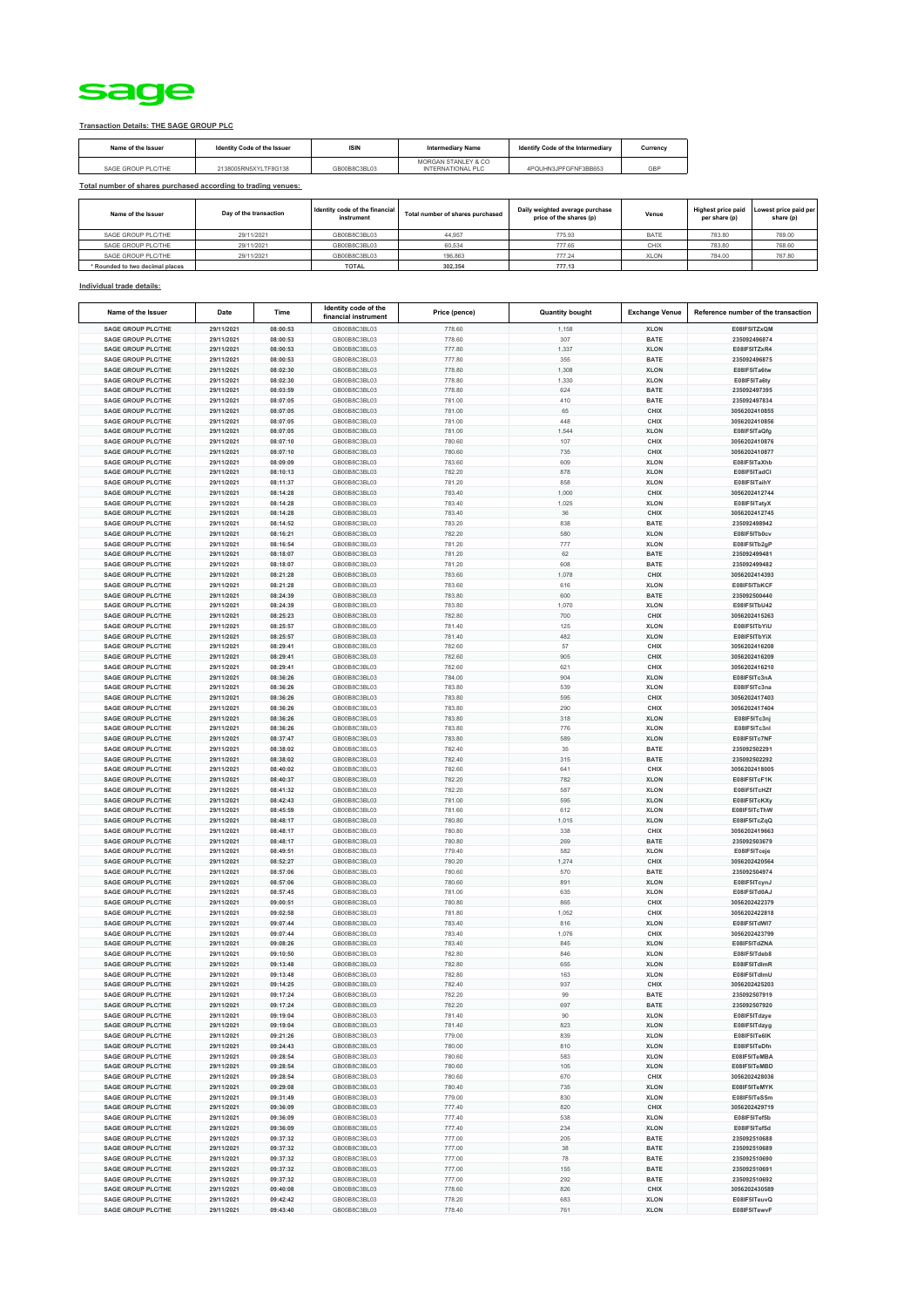

## **Transaction Details: THE SAGE GROUP PLC**

| Name of the Issuer | Identity Code of the Issuer | <b>ISIN</b>  | <b>Intermediary Name</b>                 | Identify Code of the Intermediary | Currency |
|--------------------|-----------------------------|--------------|------------------------------------------|-----------------------------------|----------|
| SAGE GROUP PLC/THE | 2138005RN5XYLTF8G138        | GB00B8C3BL03 | MORGAN STANLEY & CO<br>INTERNATIONAL PLC | 4POUHN3JPEGENE3BB653              | GBP      |

## **Total number of shares purchased according to trading venues:**

| Name of the Issuer              | Day of the transaction | Identity code of the financial<br>instrument | Total number of shares purchased | Daily weighted average purchase<br>price of the shares (p) | Venue       | <b>Highest price paid</b><br>per share (p) | Lowest price paid per<br>share (p) |
|---------------------------------|------------------------|----------------------------------------------|----------------------------------|------------------------------------------------------------|-------------|--------------------------------------------|------------------------------------|
| SAGE GROUP PLC/THE              | 29/11/2021             | GB00B8C3BL03                                 | 44.957                           | 775.93                                                     | <b>BATE</b> | 783.80                                     | 769.00                             |
| SAGE GROUP PLC/THE              | 29/11/2021             | GB00B8C3BL03                                 | 60.534                           | 777.65                                                     | CHIX        | 783.80                                     | 768.60                             |
| SAGE GROUP PLC/THE              | 29/11/2021             | GB00B8C3BL03                                 | 196,863                          | 777.24                                                     | <b>XLON</b> | 784.00                                     | 767.80                             |
| * Rounded to two decimal places |                        | <b>TOTAL</b>                                 | 302.354                          | 777.13                                                     |             |                                            |                                    |

## **Individual trade details:**

| Name of the Issuer                                     | Date       | Time     | Identity code of the<br>financial instrument | Price (pence) | <b>Quantity bought</b> | <b>Exchange Venue</b> | Reference number of the transaction |
|--------------------------------------------------------|------------|----------|----------------------------------------------|---------------|------------------------|-----------------------|-------------------------------------|
| <b>SAGE GROUP PLC/THE</b>                              | 29/11/2021 | 08:00:53 | GB00B8C3BL03                                 | 778.60        | 1,158                  | <b>XLON</b>           | E08IF5ITZxOM                        |
| <b>SAGE GROUP PLC/THE</b>                              | 29/11/2021 | 08:00:53 | GB00B8C3BL03                                 | 778.60        | 307                    | <b>BATE</b>           | 235092496874                        |
| <b>SAGE GROUP PLC/THE</b>                              | 29/11/2021 | 08:00:53 | GB00B8C3BL03                                 | 777.80        | 1,337                  | <b>XLON</b>           | E08IF5ITZxR4                        |
| <b>SAGE GROUP PLC/THE</b>                              | 29/11/2021 | 08:00:53 | GB00B8C3BL03                                 | 777.80        | 355                    | <b>BATE</b>           | 235092496875                        |
| <b>SAGE GROUP PLC/THE</b>                              | 29/11/2021 |          | GB00B8C3BL03                                 |               | 1.308                  | <b>XLON</b>           | E08IF5ITa6tw                        |
|                                                        |            | 08:02:30 |                                              | 778.80        |                        |                       |                                     |
| <b>SAGE GROUP PLC/THE</b>                              | 29/11/2021 | 08:02:30 | GB00B8C3BL03                                 | 778.80        | 1,330                  | <b>XLON</b>           | E08IF5ITa6ty                        |
| <b>SAGE GROUP PLC/THE</b>                              | 29/11/2021 | 08:03:59 | GB00B8C3BL03                                 | 778.80        | 624                    | <b>BATE</b>           | 235092497395                        |
| <b>SAGE GROUP PLC/THE</b>                              | 29/11/2021 | 08:07:05 | GB00B8C3BL03                                 | 781.00        | 410                    | <b>BATE</b>           | 235092497834                        |
| <b>SAGE GROUP PLC/THE</b>                              | 29/11/2021 | 08:07:05 | GB00B8C3BL03                                 | 781.00        | 65                     | CHIX                  | 3056202410855                       |
| <b>SAGE GROUP PLC/THE</b>                              | 29/11/2021 | 08:07:05 | GB00B8C3BL03                                 | 781.00        | 448                    | CHIX                  | 3056202410856                       |
| <b>SAGE GROUP PLC/THE</b>                              | 29/11/202  | 08:07:05 | GB00B8C3BL03                                 | 781.00        | 1,544                  | <b>XLON</b>           | E08IF5ITaQfg                        |
| <b>SAGE GROUP PLC/THE</b>                              | 29/11/2021 | 08:07:10 | GB00B8C3BL03                                 | 780.60        | 107                    | CHIX                  | 3056202410876                       |
| <b>SAGE GROUP PLC/THE</b>                              | 29/11/2021 | 08:07:10 | GB00B8C3BL03                                 | 780.60        | 735                    | CHIX                  | 3056202410877                       |
| <b>SAGE GROUP PLC/THE</b>                              | 29/11/2021 | 08:09:09 | GB00B8C3BL03                                 | 783.60        | 609                    | <b>XLON</b>           | E08IF5ITaXhb                        |
| <b>SAGE GROUP PLC/THE</b>                              | 29/11/2021 | 08:10:13 | GB00B8C3BL03                                 | 782.20        | 878                    | <b>XLON</b>           | E08IF5ITadCl                        |
| <b>SAGE GROUP PLC/THE</b>                              | 29/11/2021 | 08:11:37 | GB00B8C3BL03                                 | 781.20        | 858                    | <b>XLON</b>           | E08IF5ITaihY                        |
| <b>SAGE GROUP PLC/THE</b>                              | 29/11/2021 | 08:14:28 | GB00B8C3BL03                                 | 783.40        | 1,000                  | CHIX                  | 3056202412744                       |
| SAGE GROUP PLC/THE                                     | 29/11/2021 | 08:14:28 | GB00B8C3BL03                                 | 783.40        | 1,025                  | <b>XLON</b>           | E08IF5ITatyX                        |
| <b>SAGE GROUP PLC/THE</b>                              | 29/11/2021 | 08:14:28 | GB00B8C3BL03                                 | 783.40        | 36                     | CHIX                  | 3056202412745                       |
| <b>SAGE GROUP PLC/THE</b>                              | 29/11/2021 | 08:14:52 | GB00B8C3BL03                                 | 783.20        | 838                    | <b>BATE</b>           | 235092498942                        |
| <b>SAGE GROUP PLC/THE</b>                              | 29/11/2021 | 08:16:21 | GB00B8C3BL03                                 | 782.20        | 580                    | <b>XLON</b>           | E08IF5ITb0cv                        |
| <b>SAGE GROUP PLC/THE</b>                              | 29/11/2021 | 08:16:54 | GB00B8C3BL03                                 | 781.20        | 777                    | <b>XLON</b>           | E08IF5ITb2gP                        |
| <b>SAGE GROUP PLC/THE</b>                              | 29/11/2021 | 08:18:07 | GB00B8C3BL03                                 | 781.20        | 62                     | <b>BATE</b>           | 235092499481                        |
| <b>SAGE GROUP PLC/THE</b>                              | 29/11/2021 | 08:18:07 | GB00B8C3BL03                                 | 781.20        | 608                    | <b>BATE</b>           | 235092499482                        |
| <b>SAGE GROUP PLC/THE</b>                              | 29/11/2021 | 08:21:28 | GB00B8C3BL03                                 | 783.60        | 1.078                  | CHIX                  | 3056202414393                       |
| <b>SAGE GROUP PLC/THE</b>                              | 29/11/2021 | 08:21:28 | GB00B8C3BL03                                 | 783.60        | 616                    | <b>XLON</b>           | E08IF5ITbKCF                        |
| <b>SAGE GROUP PLC/THE</b>                              | 29/11/2021 | 08:24:39 | GB00B8C3BL03                                 | 783.80        | 600                    | <b>BATE</b>           | 235092500440                        |
|                                                        | 29/11/2021 |          |                                              |               |                        |                       | E08IF5ITbU42                        |
| <b>SAGE GROUP PLC/THE</b><br><b>SAGE GROUP PLC/THE</b> |            | 08:24:39 | GB00B8C3BL03                                 | 783.80        | 1,070                  | <b>XLON</b>           |                                     |
|                                                        | 29/11/2021 | 08:25:23 | GB00B8C3BL03                                 | 782.80        | 700                    | CHIX                  | 3056202415263                       |
| <b>SAGE GROUP PLC/THE</b>                              | 29/11/2021 | 08:25:57 | GB00B8C3BL03                                 | 781.40        | 125                    | <b>XLON</b>           | E08IF5ITbYiU                        |
| <b>SAGE GROUP PLC/THE</b>                              | 29/11/202  | 08:25:57 | GB00B8C3BL03                                 | 781.40        | 482                    | <b>XLON</b>           | E08IF5ITbYiX                        |
| <b>SAGE GROUP PLC/THE</b>                              | 29/11/2021 | 08:29:41 | GB00B8C3BL03                                 | 782.60        | 57                     | CHIX                  | 3056202416208                       |
| <b>SAGE GROUP PLC/THE</b>                              | 29/11/2021 | 08:29:41 | GB00B8C3BL03                                 | 782.60        | 905                    | CHIX                  | 3056202416209                       |
| <b>SAGE GROUP PLC/THE</b>                              | 29/11/2021 | 08:29:41 | GB00B8C3BL03                                 | 782.60        | 621                    | CHIX                  | 3056202416210                       |
| <b>SAGE GROUP PLC/THE</b>                              | 29/11/2021 | 08:36:26 | GB00B8C3BL03                                 | 784.00        | 904                    | <b>XLON</b>           | E08IF5ITc3nA                        |
| <b>SAGE GROUP PLC/THE</b>                              | 29/11/2021 | 08:36:26 | GB00B8C3BL03                                 | 783.80        | 539                    | <b>XLON</b>           | E08IF5ITc3na                        |
| <b>SAGE GROUP PLC/THE</b>                              | 29/11/2021 | 08:36:26 | GB00B8C3BL03                                 | 783.80        | 595                    | CHIX                  | 3056202417403                       |
| <b>SAGE GROUP PLC/THE</b>                              | 29/11/2021 | 08:36:26 | GB00B8C3BL03                                 | 783.80        | 290                    | CHIX                  | 3056202417404                       |
| <b>SAGE GROUP PLC/THE</b>                              | 29/11/2021 | 08:36:26 | GB00B8C3BL03                                 | 783.80        | 318                    | <b>XLON</b>           | E08IF5ITc3nj                        |
| <b>SAGE GROUP PLC/THE</b>                              | 29/11/2021 | 08:36:26 | GB00B8C3BL03                                 | 783.80        | 776                    | <b>XLON</b>           | E08IF5ITc3n                         |
| <b>SAGE GROUP PLC/THE</b>                              | 29/11/2021 | 08:37:47 | GB00B8C3BL03                                 | 783.80        | 589                    | <b>XLON</b>           | E08IF5ITc7NF                        |
| <b>SAGE GROUP PLC/THE</b>                              | 29/11/2021 | 08:38:02 | GB00B8C3BL03                                 | 782.40        | 35                     | <b>BATE</b>           | 235092502291                        |
| <b>SAGE GROUP PLC/THE</b>                              | 29/11/2021 | 08:38:02 | GB00B8C3BL03                                 | 782.40        | 315                    | <b>BATE</b>           | 235092502292                        |
| <b>SAGE GROUP PLC/THE</b>                              | 29/11/2021 | 08:40:02 | GB00B8C3BL03                                 | 782.60        | 641                    | CHIX                  | 3056202418005                       |
| <b>SAGE GROUP PLC/THE</b>                              | 29/11/2021 | 08:40:37 | GB00B8C3BL03                                 | 782.20        | 782                    | <b>XLON</b>           | E08IF5ITcF1K                        |
| <b>SAGE GROUP PLC/THE</b>                              | 29/11/2021 | 08:41:32 | GB00B8C3BL03                                 | 782.20        | 587                    | <b>XLON</b>           | E08IF5ITcHZf                        |
| <b>SAGE GROUP PLC/THE</b>                              | 29/11/2021 | 08:42:43 | GB00B8C3BL03                                 | 781.00        | 595                    | <b>XLON</b>           | E08IF5ITcKXy                        |
| <b>SAGE GROUP PLC/THE</b>                              | 29/11/2021 | 08:45:59 | GB00B8C3BL03                                 | 781.60        | 612                    | <b>XLON</b>           | E08IF5ITcThW                        |
| <b>SAGE GROUP PLC/THE</b>                              | 29/11/2021 | 08:48:17 | GB00B8C3BL03                                 | 780.80        | 1,015                  | <b>XLON</b>           | E08IF5ITcZqQ                        |
| <b>SAGE GROUP PLC/THE</b>                              | 29/11/2021 | 08:48:17 | GB00B8C3BL03                                 | 780.80        | 338                    | CHIX                  | 3056202419663                       |
| <b>SAGE GROUP PLC/THE</b>                              | 29/11/202  | 08:48:17 | GB00B8C3BL03                                 | 780.80        | 269                    | <b>BATE</b>           | 235092503679                        |
| <b>SAGE GROUP PLC/THE</b>                              | 29/11/2021 | 08:49:51 | GB00B8C3BL03                                 | 779.40        | 582                    | <b>XLON</b>           | E08IF5ITceje                        |
| <b>SAGE GROUP PLC/THE</b>                              | 29/11/2021 | 08:52:27 | GB00B8C3BL03                                 | 780.20        | 1,274                  | CHIX                  | 3056202420564                       |
| <b>SAGE GROUP PLC/THE</b>                              | 29/11/2021 | 08:57:06 | GB00B8C3BL03                                 | 780.60        | 570                    | <b>BATE</b>           | 235092504974                        |
| <b>SAGE GROUP PLC/THE</b>                              | 29/11/2021 | 08:57:06 | GB00B8C3BL03                                 | 780.60        | 891                    | <b>XLON</b>           | E08IF5ITcynJ                        |
| <b>SAGE GROUP PLC/THE</b>                              | 29/11/2021 | 08:57:45 | GB00B8C3BL03                                 | 781.00        | 635                    | <b>XLON</b>           | E08IF5ITd0AJ                        |
| <b>SAGE GROUP PLC/THE</b>                              | 29/11/2021 | 09:00:51 | GB00B8C3BL03                                 | 780.80        | 865                    | CHIX                  | 3056202422379                       |
| <b>SAGE GROUP PLC/THE</b>                              | 29/11/2021 | 09:02:58 | GB00B8C3BL03                                 | 781.80        | 1,052                  | CHIX                  | 3056202422818                       |
| SAGE GROUP PLC/THE                                     | 29/11/2021 | 09:07:44 | GB00B8C3BL03                                 | 783.40        | 816                    | <b>XLON</b>           | E08IF5ITdWI7                        |
| <b>SAGE GROUP PLC/THE</b>                              | 29/11/2021 | 09:07:44 | GB00B8C3BL03                                 | 783.40        | 1.076                  | CHIX                  | 3056202423799                       |
| <b>SAGE GROUP PLC/THE</b>                              | 29/11/2021 | 09:08:26 | GB00B8C3BL03                                 | 783.40        | 845                    | <b>XLON</b>           | E08IF5ITdZNA                        |
| <b>SAGE GROUP PLC/THE</b>                              | 29/11/2021 | 09:10:50 | GB00B8C3BL03                                 | 782.80        | 846                    | <b>XLON</b>           | E08IF5ITdeb8                        |
| <b>SAGE GROUP PLC/THE</b>                              | 29/11/2021 | 09:13:48 | GB00B8C3BL03                                 | 782.80        | 655                    | <b>XLON</b>           | E08IF5ITdlmR                        |
| <b>SAGE GROUP PLC/THE</b>                              | 29/11/2021 | 09:13:48 | GB00B8C3BL03                                 | 782.80        | 163                    | <b>XLON</b>           | E08IF5ITdlmU                        |
| <b>SAGE GROUP PLC/THE</b>                              | 29/11/2021 | 09:14:25 | GB00B8C3BL03                                 | 782.40        | 937                    | CHIX                  | 3056202425203                       |
| <b>SAGE GROUP PLC/THE</b>                              | 29/11/2021 | 09:17:24 | GB00B8C3BL03                                 | 782.20        | 99                     | <b>BATE</b>           | 235092507919                        |
| <b>SAGE GROUP PLC/THE</b>                              | 29/11/2021 | 09:17:24 | GB00B8C3BL03                                 | 782.20        | 697                    | <b>BATE</b>           | 235092507920                        |
| <b>SAGE GROUP PLC/THE</b>                              | 29/11/2021 | 09:19:04 | GB00B8C3BL03                                 | 781.40        | 90                     | <b>XLON</b>           | E08IF5ITdzye                        |
| <b>SAGE GROUP PLC/THE</b>                              | 29/11/2021 | 09:19:04 | GB00B8C3BL03                                 | 781.40        | 823                    | <b>XLON</b>           | E08IF5ITdzyg                        |
| <b>SAGE GROUP PLC/THE</b>                              | 29/11/2021 | 09:21:26 | GB00B8C3BL03                                 | 779.00        | 839                    | <b>XLON</b>           | E08IF5ITe6IK                        |
| <b>SAGE GROUP PLC/THE</b>                              | 29/11/2021 | 09:24:43 | GB00B8C3BL03                                 | 780.00        | 810                    | <b>XLON</b>           | E08IF5ITeDfn                        |
| <b>SAGE GROUP PLC/THE</b>                              | 29/11/2021 | 09:28:54 | GB00B8C3BL03                                 | 780.60        | 583                    | <b>XLON</b>           | E08IF5ITeMBA                        |
| <b>SAGE GROUP PLC/THE</b>                              | 29/11/2021 | 09:28:54 | GB00B8C3BL03                                 | 780.60        | 105                    | <b>XLON</b>           | E08IF5ITeMBD                        |
| <b>SAGE GROUP PLC/THE</b>                              | 29/11/2021 | 09:28:54 | GB00B8C3BL03                                 | 780.60        | 670                    | CHIX                  | 3056202428036                       |
| SAGE GROUP PLC/THE                                     | 29/11/2021 | 09:29:08 | GB00B8C3BL03                                 | 780.40        | 735                    | <b>XLON</b>           | E08IF5ITeMYK                        |
| <b>SAGE GROUP PLC/THE</b>                              | 29/11/2021 | 09:31:49 | GB00B8C3BL03                                 | 779.00        | 830                    | <b>XLON</b>           | E08IF5ITeS5m                        |
| <b>SAGE GROUP PLC/THE</b>                              | 29/11/2021 | 09:36:09 | GB00B8C3BL03                                 | 777.40        | 820                    | CHIX                  | 3056202429719                       |
| <b>SAGE GROUP PLC/THE</b>                              | 29/11/2021 | 09:36:09 | GB00B8C3BL03                                 | 777.40        | 538                    | <b>XLON</b>           | E08IF5ITef5b                        |
| <b>SAGE GROUP PLC/THE</b>                              | 29/11/2021 | 09:36:09 | GB00B8C3BL03                                 | 777.40        | 234                    | <b>XLON</b>           | E08IF5ITef5d                        |
| SAGE GROUP PLC/THE                                     | 29/11/2021 | 09:37:32 | GB00B8C3BL03                                 | 777.00        | 205                    | <b>BATE</b>           | 235092510688                        |
| <b>SAGE GROUP PLC/THE</b>                              | 29/11/2021 | 09:37:32 | GB00B8C3BL03                                 | 777.00        | 38                     | <b>BATE</b>           | 235092510689                        |
| <b>SAGE GROUP PLC/THE</b>                              | 29/11/2021 | 09:37:32 | GB00B8C3BL03                                 | 777.00        | 78                     | <b>BATE</b>           | 235092510690                        |
| <b>SAGE GROUP PLC/THE</b>                              | 29/11/2021 | 09:37:32 | GB00B8C3BL03                                 | 777.00        | 155                    | <b>BATE</b>           | 235092510691                        |
| <b>SAGE GROUP PLC/THE</b>                              | 29/11/2021 | 09:37:32 | GB00B8C3BL03                                 | 777.00        | 292                    | <b>BATE</b>           | 235092510692                        |
| <b>SAGE GROUP PLC/THE</b>                              | 29/11/2021 | 09:40:08 | GB00B8C3BL03                                 | 778.60        | 826                    | CHIX                  | 3056202430589                       |
| <b>SAGE GROUP PLC/THE</b>                              | 29/11/2021 | 09:42:42 | GB00B8C3BL03                                 | 778.20        | 683                    | <b>XLON</b>           | E08IF5ITeuvQ                        |
| <b>SAGE GROUP PLC/THE</b>                              | 29/11/2021 | 09:43:40 | GB00B8C3BL03                                 | 778.40        | 761                    | <b>XLON</b>           | E08IF5ITewvF                        |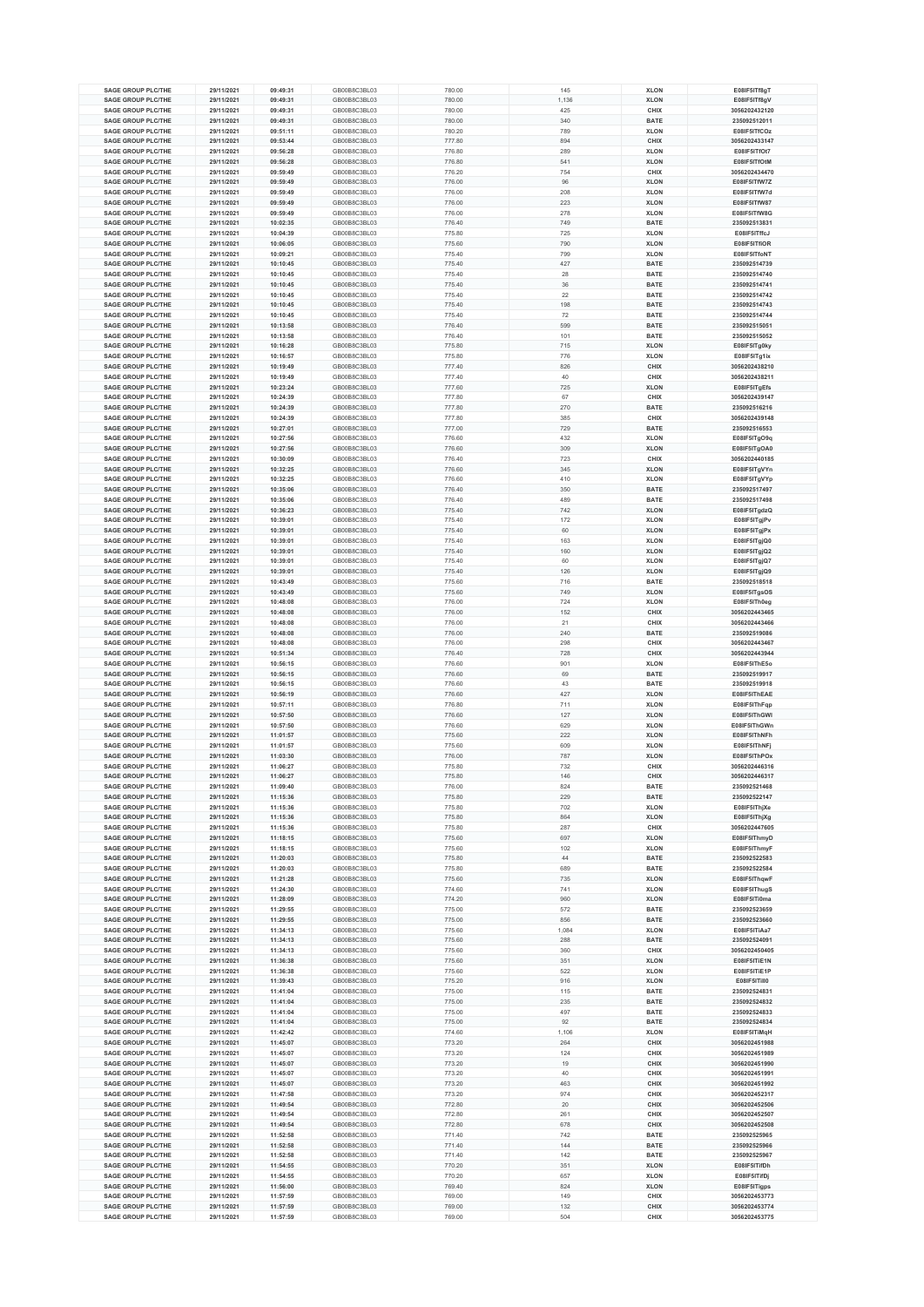| <b>SAGE GROUP PLC/THE</b>                              | 29/11/2021               | 09:49:31             | GB00B8C3BL03                 | 780.00           | 145        | <b>XLON</b>         | E08IF5ITf8gT                   |
|--------------------------------------------------------|--------------------------|----------------------|------------------------------|------------------|------------|---------------------|--------------------------------|
| <b>SAGE GROUP PLC/THE</b>                              | 29/11/2021               | 09:49:31             | GB00B8C3BL03                 | 780.00           | 1,136      | <b>XLON</b>         | E08IF5ITf8gV                   |
| <b>SAGE GROUP PLC/THE</b>                              | 29/11/2021               | 09:49:31             | GB00B8C3BL03                 | 780.00           | 425        | CHIX                | 3056202432120                  |
| <b>SAGE GROUP PLC/THE</b>                              | 29/11/2021               | 09:49:31             | GB00B8C3BL03                 | 780.00           | 340        | <b>BATE</b>         | 235092512011                   |
| <b>SAGE GROUP PLC/THE</b>                              | 29/11/2021               | 09:51:11             | GB00B8C3BL03                 | 780.20           | 789        | <b>XLON</b>         | E08IF5ITfCOz                   |
| <b>SAGE GROUP PLC/THE</b>                              | 29/11/2021               | 09:53:44             | GB00B8C3BL03                 | 777.80           | 894        | CHIX                | 3056202433147                  |
| <b>SAGE GROUP PLC/THE</b>                              | 29/11/2021               | 09:56:28             | GB00B8C3BL03                 | 776.80           | 289        | <b>XLON</b>         | E08IF5ITfOt7                   |
| <b>SAGE GROUP PLC/THE</b>                              | 29/11/2021               | 09:56:28             | GB00B8C3BL03                 | 776.80           | 541        | <b>XLON</b>         | E08IF5ITfOtM                   |
|                                                        |                          |                      |                              |                  |            |                     |                                |
| <b>SAGE GROUP PLC/THE</b>                              | 29/11/2021               | 09:59:49             | GB00B8C3BL03                 | 776.20           | 754        | CHIX                | 3056202434470                  |
| <b>SAGE GROUP PLC/THE</b>                              | 29/11/2021               | 09:59:49             | GB00B8C3BL03                 | 776.00           | 96         | <b>XLON</b>         | E08IF5ITfW7Z                   |
| <b>SAGE GROUP PLC/THE</b>                              | 29/11/2021               | 09:59:49             | GB00B8C3BL03                 | 776.00           | 208        | <b>XLON</b>         | E08IF5ITfW7d                   |
| <b>SAGE GROUP PLC/THE</b>                              | 29/11/2021               | 09:59:49             | GB00B8C3BL03                 | 776.00           | 223        | <b>XLON</b>         | E08IF5ITfW87                   |
| <b>SAGE GROUP PLC/THE</b>                              | 29/11/2021               | 09:59:49             | GB00B8C3BL03                 | 776.00           | 278        | <b>XLON</b>         | E08IF5ITfW8G                   |
| <b>SAGE GROUP PLC/THE</b>                              | 29/11/2021               | 10:02:35             | GB00B8C3BL03                 | 776.40           | 749        | <b>BATE</b>         | 235092513831                   |
| <b>SAGE GROUP PLC/THE</b>                              | 29/11/2021               | 10:04:39             | GB00B8C3BL03                 | 775.80           | 725        | <b>XLON</b>         | E08IF5ITffcJ                   |
|                                                        |                          |                      |                              |                  |            |                     |                                |
| <b>SAGE GROUP PLC/THE</b>                              | 29/11/2021               | 10:06:05             | GB00B8C3BL03                 | 775.60           | 790        | <b>XLON</b>         | E08IF5ITfiOR                   |
| <b>SAGE GROUP PLC/THE</b>                              | 29/11/2021               | 10:09:21             | GB00B8C3BL03                 | 775.40           | 799        | <b>XLON</b>         | E08IF5ITfoNT                   |
| <b>SAGE GROUP PLC/THE</b>                              | 29/11/2021               | 10:10:45             | GB00B8C3BL03                 | 775.40           | 427        | <b>BATE</b>         | 235092514739                   |
| <b>SAGE GROUP PLC/THE</b>                              | 29/11/2021               | 10:10:45             | GB00B8C3BL03                 | 775.40           | 28         | <b>BATE</b>         | 235092514740                   |
| <b>SAGE GROUP PLC/THE</b>                              | 29/11/2021               | 10:10:45             | GB00B8C3BL03                 | 775.40           | 36         | <b>BATE</b>         | 235092514741                   |
| <b>SAGE GROUP PLC/THE</b>                              | 29/11/2021               | 10:10:45             | GB00B8C3BL03                 | 775.40           | 22         | <b>BATE</b>         | 235092514742                   |
| <b>SAGE GROUP PLC/THE</b>                              | 29/11/2021               | 10:10:45             | GB00B8C3BL03                 | 775.40           | 198        | <b>BATE</b>         | 235092514743                   |
| <b>SAGE GROUP PLC/THE</b>                              | 29/11/2021               | 10:10:45             | GB00B8C3BL03                 |                  | 72         | <b>BATE</b>         | 235092514744                   |
|                                                        |                          |                      |                              | 775.40           |            |                     |                                |
| <b>SAGE GROUP PLC/THE</b>                              | 29/11/2021               | 10:13:58             | GB00B8C3BL03                 | 776.40           | 599        | <b>BATE</b>         | 235092515051                   |
| <b>SAGE GROUP PLC/THE</b>                              | 29/11/2021               | 10:13:58             | GB00B8C3BL03                 | 776.40           | 101        | <b>BATE</b>         | 235092515052                   |
| <b>SAGE GROUP PLC/THE</b>                              | 29/11/2021               | 10:16:28             | GB00B8C3BL03                 | 775.80           | 715        | <b>XLON</b>         | E08IF5ITg0ky                   |
| <b>SAGE GROUP PLC/THE</b>                              | 29/11/2021               | 10:16:57             | GB00B8C3BL03                 | 775.80           | 776        | <b>XLON</b>         | E08IF5ITg1ix                   |
| <b>SAGE GROUP PLC/THE</b>                              | 29/11/2021               | 10:19:49             | GB00B8C3BL03                 | 777.40           | 826        | CHIX                | 3056202438210                  |
| <b>SAGE GROUP PLC/THE</b>                              | 29/11/2021               | 10:19:49             | GB00B8C3BL03                 | 777.40           | 40         | CHIX                | 3056202438211                  |
| <b>SAGE GROUP PLC/THE</b>                              | 29/11/2021               | 10:23:24             | GB00B8C3BL03                 | 777.60           | 725        | <b>XLON</b>         | E08IF5ITgEfs                   |
|                                                        |                          |                      |                              |                  |            |                     |                                |
| <b>SAGE GROUP PLC/THE</b>                              | 29/11/2021               | 10:24:39             | GB00B8C3BL03                 | 777.80           | 67         | CHIX                | 3056202439147                  |
| <b>SAGE GROUP PLC/THE</b>                              | 29/11/2021               | 10:24:39             | GB00B8C3BL03                 | 777.80           | 270        | <b>BATE</b>         | 235092516216                   |
| <b>SAGE GROUP PLC/THE</b>                              | 29/11/2021               | 10:24:39             | GB00B8C3BL03                 | 777.80           | 385        | CHIX                | 3056202439148                  |
| <b>SAGE GROUP PLC/THE</b>                              | 29/11/2021               | 10:27:01             | GB00B8C3BL03                 | 777.00           | 729        | <b>BATE</b>         | 235092516553                   |
| <b>SAGE GROUP PLC/THE</b>                              | 29/11/2021               | 10:27:56             | GB00B8C3BL03                 | 776.60           | 432        | <b>XLON</b>         | E08IF5ITgO9q                   |
| <b>SAGE GROUP PLC/THE</b>                              | 29/11/2021               | 10:27:56             | GB00B8C3BL03                 | 776.60           | 309        | <b>XLON</b>         | E08IF5ITgOA0                   |
| <b>SAGE GROUP PLC/THE</b>                              | 29/11/2021               | 10:30:09             | GB00B8C3BL03                 | 776.40           | 723        | CHIX                | 3056202440185                  |
| <b>SAGE GROUP PLC/THE</b>                              | 29/11/2021               | 10:32:25             | GB00B8C3BL03                 | 776.60           | 345        | <b>XLON</b>         | E08IF5ITgVYn                   |
|                                                        |                          |                      |                              |                  |            |                     |                                |
| <b>SAGE GROUP PLC/THE</b>                              | 29/11/2021               | 10:32:25             | GB00B8C3BL03                 | 776.60           | 410        | <b>XLON</b>         | E08IF5ITgVYp                   |
| <b>SAGE GROUP PLC/THE</b>                              | 29/11/2021               | 10:35:06             | GB00B8C3BL03                 | 776.40           | 350        | <b>BATE</b>         | 235092517497                   |
| <b>SAGE GROUP PLC/THE</b>                              | 29/11/2021               | 10:35:06             | GB00B8C3BL03                 | 776.40           | 489        | <b>BATE</b>         | 235092517498                   |
| <b>SAGE GROUP PLC/THE</b>                              | 29/11/2021               | 10:36:23             | GB00B8C3BL03                 | 775.40           | 742        | <b>XLON</b>         | E08IF5ITgdzQ                   |
| <b>SAGE GROUP PLC/THE</b>                              | 29/11/2021               | 10:39:01             | GB00B8C3BL03                 | 775.40           | 172        | <b>XLON</b>         | E08IF5ITgjPv                   |
| <b>SAGE GROUP PLC/THE</b>                              | 29/11/2021               | 10:39:01             | GB00B8C3BL03                 | 775.40           | 60         | <b>XLON</b>         | E08IF5ITgjPx                   |
| <b>SAGE GROUP PLC/THE</b>                              | 29/11/2021               | 10:39:01             | GB00B8C3BL03                 | 775.40           | 163        | <b>XLON</b>         | E08IF5ITgjQ0                   |
|                                                        |                          |                      |                              |                  |            |                     |                                |
| <b>SAGE GROUP PLC/THE</b>                              | 29/11/2021               | 10:39:01             | GB00B8C3BL03                 | 775.40           | 160        | <b>XLON</b>         | E08IF5ITgjQ2                   |
| <b>SAGE GROUP PLC/THE</b>                              | 29/11/2021               | 10:39:01             | GB00B8C3BL03                 | 775.40           | 60         | <b>XLON</b>         | E08IF5ITgjQ7                   |
| <b>SAGE GROUP PLC/THE</b>                              | 29/11/2021               | 10:39:01             | GB00B8C3BL03                 | 775.40           | 126        | <b>XLON</b>         | E08IF5ITgjQ9                   |
| <b>SAGE GROUP PLC/THE</b>                              | 29/11/2021               | 10:43:49             | GB00B8C3BL03                 | 775.60           | 716        | <b>BATE</b>         | 235092518518                   |
| <b>SAGE GROUP PLC/THE</b>                              | 29/11/2021               | 10:43:49             | GB00B8C3BL03                 | 775.60           | 749        | <b>XLON</b>         | E08IF5ITgsOS                   |
| <b>SAGE GROUP PLC/THE</b>                              | 29/11/2021               | 10:48:08             | GB00B8C3BL03                 | 776.00           | 724        | <b>XLON</b>         | E08IF5ITh0eg                   |
| <b>SAGE GROUP PLC/THE</b>                              | 29/11/2021               | 10:48:08             | GB00B8C3BL03                 | 776.00           | 152        | CHIX                | 3056202443465                  |
| <b>SAGE GROUP PLC/THE</b>                              | 29/11/2021               | 10:48:08             | GB00B8C3BL03                 | 776.00           | 21         | CHIX                | 3056202443466                  |
|                                                        |                          |                      |                              |                  |            |                     |                                |
| <b>SAGE GROUP PLC/THE</b>                              | 29/11/2021               | 10:48:08             | GB00B8C3BL03                 | 776.00           | 240        | <b>BATE</b>         | 235092519086                   |
| <b>SAGE GROUP PLC/THE</b>                              | 29/11/2021               | 10:48:08             | GB00B8C3BL03                 | 776.00           | 298        | CHIX                | 3056202443467                  |
| <b>SAGE GROUP PLC/THE</b>                              | 29/11/2021               | 10:51:34             | GB00B8C3BL03                 | 776.40           | 728        | CHIX                | 3056202443944                  |
| <b>SAGE GROUP PLC/THE</b>                              | 29/11/2021               | 10:56:15             | GB00B8C3BL03                 | 776.60           | 901        | <b>XLON</b>         | E08IF5IThE5o                   |
| <b>SAGE GROUP PLC/THE</b>                              | 29/11/2021               | 10:56:15             | GB00B8C3BL03                 | 776.60           | 69         | <b>BATE</b>         | 235092519917                   |
| <b>SAGE GROUP PLC/THE</b>                              | 29/11/2021               | 10:56:15             | GB00B8C3BL03                 | 776.60           | 43         | <b>BATE</b>         | 235092519918                   |
| <b>SAGE GROUP PLC/THE</b>                              | 29/11/2021               | 10:56:19             | GB00B8C3BL03                 | 776.60           | 427        | <b>XLON</b>         | E08IF5IThEAE                   |
| <b>SAGE GROUP PLC/THE</b>                              | 29/11/2021               | 10:57:11             | GB00B8C3BL03                 | 776.80           | 711        | <b>XLON</b>         | E08IF5IThFap                   |
| <b>SAGE GROUP PLC/THE</b>                              |                          |                      |                              |                  |            |                     |                                |
|                                                        | 29/11/2021               | 10:57:50             | GB00B8C3BL03                 | 776.60           | 127        | <b>XLON</b>         | E08IF5IThGWI                   |
| <b>SAGE GROUP PLC/THE</b>                              | 29/11/2021               | 10:57:50             | GB00B8C3BL03                 | 776.60           | 629        | <b>XLON</b>         | E08IF5IThGWn                   |
| <b>SAGE GROUP PLC/THE</b>                              | 29/11/2021               | 11:01:57             | GB00B8C3BL03                 | 775.60           | 222        | <b>XLON</b>         | E08IF5IThNFh                   |
| <b>SAGE GROUP PLC/THE</b>                              | 29/11/2021               | 11:01:57             | GB00B8C3BL03                 | 775.60           | 609        | <b>XLON</b>         | E08IF5IThNF                    |
| <b>SAGE GROUP PLC/THE</b>                              | 29/11/2021               | 11:03:30             | GB00B8C3BL03                 | 776.00           | 787        | <b>XLON</b>         | E08IF5IThPOx                   |
| <b>SAGE GROUP PLC/THE</b>                              | 29/11/2021               | 11:06:27             | GB00B8C3BL03                 | 775.80           | 732        | CHIX                | 3056202446316                  |
| <b>SAGE GROUP PLC/THE</b>                              | 29/11/2021               | 11:06:27             | GB00B8C3BL03                 | 775.80           | 146        | CHIX                | 3056202446317                  |
| <b>SAGE GROUP PLC/THE</b>                              | 29/11/2021               | 11:09:40             | GB00B8C3BL03                 | 776.00           | 824        | <b>BATE</b>         | 235092521468                   |
| <b>SAGE GROUP PLC/THE</b>                              |                          |                      |                              |                  |            |                     |                                |
|                                                        | 29/11/2021               | 11:15:36             | GB00B8C3BL03                 | 775.80           | 229        | <b>BATE</b>         | 235092522147                   |
| <b>SAGE GROUP PLC/THE</b>                              | 29/11/2021               | 11:15:36             | GB00B8C3BL03                 | 775.80           | 702        | <b>XLON</b>         | E08IF5IThjXe                   |
| <b>SAGE GROUP PLC/THE</b>                              | 29/11/2021               | 11:15:36             | GB00B8C3BL03                 | 775.80           | 864        | <b>XLON</b>         | E08IF5IThjXg                   |
| <b>SAGE GROUP PLC/THE</b>                              | 29/11/2021               | 11:15:36             | GB00B8C3BL03                 | 775.80           | 287        | CHIX                | 3056202447605                  |
| <b>SAGE GROUP PLC/THE</b>                              | 29/11/2021               | 11:18:15             | GB00B8C3BL03                 | 775.60           | 697        | <b>XLON</b>         | E08IF5IThmyD                   |
| <b>SAGE GROUP PLC/THE</b>                              | 29/11/2021               | 11:18:15             | GB00B8C3BL03                 | 775.60           | 102        | <b>XLON</b>         | E08IF5IThmyF                   |
| <b>SAGE GROUP PLC/THE</b>                              | 29/11/2021               | 11:20:03             | GB00B8C3BL03                 | 775.80           | 44         | <b>BATE</b>         | 235092522583                   |
| <b>SAGE GROUP PLC/THE</b>                              | 29/11/2021               | 11:20:03             | GB00B8C3BL03                 | 775.80           | 689        | <b>BATE</b>         | 235092522584                   |
| <b>SAGE GROUP PLC/THE</b>                              | 29/11/2021               | 11:21:28             | GB00B8C3BL03                 | 775.60           | 735        | <b>XLON</b>         | E08IF5IThqwF                   |
| <b>SAGE GROUP PLC/THE</b>                              |                          |                      |                              |                  |            |                     |                                |
| SAGE GROUP PLC/THE                                     | 29/11/2021               | 11:24:30             | GB00B8C3BL03                 | 774.60           | 741        | <b>XLON</b>         | E08IF5IThugS                   |
|                                                        | 29/11/2021               | 11:28:09             | GB00B8C3BL03                 | 774.20           | 960        | <b>XLON</b>         | E08IF5ITi0ma                   |
| <b>SAGE GROUP PLC/THE</b>                              | 29/11/2021               | 11:29:55             | GB00B8C3BL03                 | 775.00           | 572        | <b>BATE</b>         | 235092523659                   |
| <b>SAGE GROUP PLC/THE</b>                              | 29/11/2021               | 11:29:55             | GB00B8C3BL03                 | 775.00           | 856        | <b>BATE</b>         | 235092523660                   |
| <b>SAGE GROUP PLC/THE</b>                              | 29/11/2021               | 11:34:13             | GB00B8C3BL03                 | 775.60           | 1,084      | <b>XLON</b>         | E08IF5ITiAa7                   |
| <b>SAGE GROUP PLC/THE</b>                              | 29/11/2021               | 11:34:13             | GB00B8C3BL03                 | 775.60           | 288        | <b>BATE</b>         | 235092524091                   |
| SAGE GROUP PLC/THE                                     | 29/11/2021               | 11:34:13             | GB00B8C3BL03                 | 775.60           | 360        | CHIX                | 3056202450405                  |
| <b>SAGE GROUP PLC/THE</b>                              | 29/11/2021               | 11:36:38             | GB00B8C3BL03                 | 775.60           | 351        | <b>XLON</b>         | E08IF5ITiE1N                   |
| <b>SAGE GROUP PLC/THE</b>                              | 29/11/2021               | 11:36:38             | GB00B8C3BL03                 | 775.60           | 522        | <b>XLON</b>         | E08IF5ITiE1P                   |
| <b>SAGE GROUP PLC/THE</b>                              |                          |                      | GB00B8C3BL03                 |                  | 916        | <b>XLON</b>         | E08IF5ITill0                   |
|                                                        | 29/11/2021               | 11:39:43             |                              | 775.20           |            |                     |                                |
| <b>SAGE GROUP PLC/THE</b>                              | 29/11/2021               | 11:41:04             | GB00B8C3BL03                 | 775.00           | 115        | <b>BATE</b>         | 235092524831                   |
| <b>SAGE GROUP PLC/THE</b>                              | 29/11/2021               | 11:41:04             | GB00B8C3BL03                 | 775.00           | 235        | <b>BATE</b>         | 235092524832                   |
| <b>SAGE GROUP PLC/THE</b>                              | 29/11/2021               | 11:41:04             | GB00B8C3BL03                 | 775.00           | 497        | <b>BATE</b>         | 235092524833                   |
| <b>SAGE GROUP PLC/THE</b>                              | 29/11/2021               | 11:41:04             | GB00B8C3BL03                 | 775.00           | 92         | <b>BATE</b>         | 235092524834                   |
| <b>SAGE GROUP PLC/THE</b>                              | 29/11/2021               | 11:42:42             | GB00B8C3BL03                 | 774.60           | 1,106      | <b>XLON</b>         | E08IF5ITiMqH                   |
| <b>SAGE GROUP PLC/THE</b>                              | 29/11/2021               | 11:45:07             | GB00B8C3BL03                 | 773.20           | 264        | CHIX                | 3056202451988                  |
| <b>SAGE GROUP PLC/THE</b>                              | 29/11/2021               | 11:45:07             | GB00B8C3BL03                 | 773.20           | 124        | CHIX                | 3056202451989                  |
|                                                        |                          |                      |                              |                  |            |                     |                                |
| <b>SAGE GROUP PLC/THE</b>                              | 29/11/2021               | 11:45:07             | GB00B8C3BL03                 | 773.20           | 19         | CHIX                | 3056202451990                  |
| <b>SAGE GROUP PLC/THE</b>                              | 29/11/2021               | 11:45:07             | GB00B8C3BL03                 | 773.20           | 40         | CHIX                | 3056202451991                  |
| <b>SAGE GROUP PLC/THE</b>                              | 29/11/2021               | 11:45:07             | GB00B8C3BL03                 | 773.20           | 463        | CHIX                | 3056202451992                  |
| <b>SAGE GROUP PLC/THE</b>                              | 29/11/2021               | 11:47:58             | GB00B8C3BL03                 | 773.20           | 974        | CHIX                | 3056202452317                  |
| <b>SAGE GROUP PLC/THE</b>                              | 29/11/2021               | 11:49:54             | GB00B8C3BL03                 | 772.80           | 20         | CHIX                | 3056202452506                  |
| <b>SAGE GROUP PLC/THE</b>                              | 29/11/2021               | 11:49:54             | GB00B8C3BL03                 | 772.80           | 261        | CHIX                | 3056202452507                  |
| <b>SAGE GROUP PLC/THE</b>                              | 29/11/2021               | 11:49:54             | GB00B8C3BL03                 | 772.80           | 678        | CHIX                | 3056202452508                  |
| <b>SAGE GROUP PLC/THE</b>                              |                          |                      | GB00B8C3BL03                 |                  | 742        | <b>BATE</b>         |                                |
|                                                        | 29/11/2021               | 11:52:58             |                              | 771.40           |            |                     | 235092525965                   |
| <b>SAGE GROUP PLC/THE</b>                              | 29/11/2021               | 11:52:58             | GB00B8C3BL03                 | 771.40           | 144        | <b>BATE</b>         | 235092525966                   |
| <b>SAGE GROUP PLC/THE</b>                              | 29/11/2021               | 11:52:58             | GB00B8C3BL03                 | 771.40           | 142        | <b>BATE</b>         | 235092525967                   |
| <b>SAGE GROUP PLC/THE</b>                              | 29/11/2021               | 11:54:55             | GB00B8C3BL03                 | 770.20           | 351        | <b>XLON</b>         | E08IF5ITifDh                   |
| <b>SAGE GROUP PLC/THE</b>                              | 29/11/2021               | 11:54:55             | GB00B8C3BL03                 | 770.20           | 657        | <b>XLON</b>         | E08IF5ITifDj                   |
| <b>SAGE GROUP PLC/THE</b>                              |                          |                      |                              |                  |            |                     |                                |
|                                                        |                          |                      |                              |                  |            |                     |                                |
|                                                        | 29/11/2021               | 11:56:00             | GB00B8C3BL03                 | 769.40           | 824        | <b>XLON</b>         | E08IF5ITigps                   |
| <b>SAGE GROUP PLC/THE</b>                              | 29/11/2021               | 11:57:59             | GB00B8C3BL03                 | 769.00           | 149        | CHIX                | 3056202453773                  |
| <b>SAGE GROUP PLC/THE</b><br><b>SAGE GROUP PLC/THE</b> | 29/11/2021<br>29/11/2021 | 11:57:59<br>11:57:59 | GB00B8C3BL03<br>GB00B8C3BL03 | 769.00<br>769.00 | 132<br>504 | CHIX<br><b>CHIX</b> | 3056202453774<br>3056202453775 |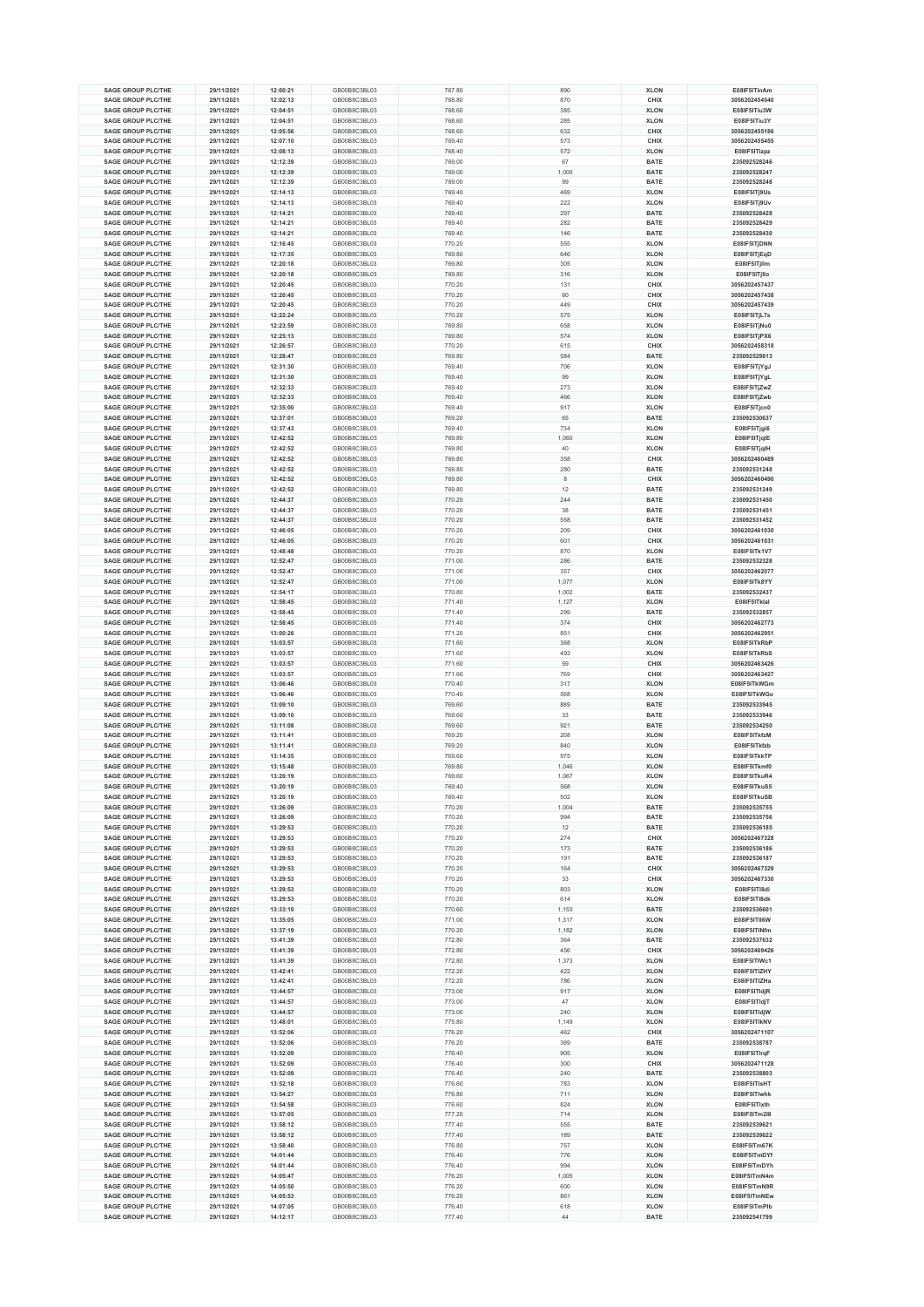| <b>SAGE GROUP PLC/THE</b> | 29/11/2021 | 12:00:21 | GB00B8C3BL03 |        | 890   | <b>XLON</b> | E08IF5ITinAm  |
|---------------------------|------------|----------|--------------|--------|-------|-------------|---------------|
|                           |            |          |              | 767.80 |       |             |               |
| <b>SAGE GROUP PLC/THE</b> | 29/11/2021 | 12:02:13 | GB00B8C3BL03 | 768.80 | 870   | CHIX        | 3056202454540 |
| SAGE GROUP PLC/THE        | 29/11/2021 | 12:04:51 | GB00B8C3BL03 | 768.60 | 385   | <b>XLON</b> | E08IF5ITiu3W  |
| <b>SAGE GROUP PLC/THE</b> | 29/11/2021 | 12:04:51 | GB00B8C3BL03 | 768.60 | 285   | <b>XLON</b> | E08IF5ITiu3Y  |
| SAGE GROUP PLC/THE        | 29/11/2021 | 12:05:56 | GB00B8C3BL03 | 768.60 | 632   | CHIX        | 3056202455186 |
| SAGE GROUP PLC/THE        | 29/11/2021 | 12:07:10 | GB00B8C3BL03 | 769.40 | 573   | CHIX        | 3056202455455 |
| <b>SAGE GROUP PLC/THE</b> | 29/11/2021 | 12:08:13 | GB00B8C3BL03 | 768.40 | 572   | <b>XLON</b> | E08IF5ITizpz  |
| <b>SAGE GROUP PLC/THE</b> | 29/11/2021 | 12:12:39 | GB00B8C3BL03 | 769.00 | 67    | <b>BATE</b> | 235092528246  |
| <b>SAGE GROUP PLC/THE</b> | 29/11/2021 | 12:12:39 | GB00B8C3BL03 | 769.00 | 1,000 | <b>BATE</b> | 235092528247  |
| <b>SAGE GROUP PLC/THE</b> | 29/11/2021 | 12:12:39 | GB00B8C3BL03 | 769.00 | 99    | <b>BATE</b> | 235092528248  |
|                           |            |          |              |        |       |             |               |
| <b>SAGE GROUP PLC/THE</b> | 29/11/2021 | 12:14:13 | GB00B8C3BL03 | 769.40 | 469   | <b>XLON</b> | E08IF5ITj9Us  |
| <b>SAGE GROUP PLC/THE</b> | 29/11/2021 | 12:14:13 | GB00B8C3BL03 | 769.40 | 222   | <b>XLON</b> | E08IF5ITj9Uv  |
| <b>SAGE GROUP PLC/THE</b> | 29/11/2021 | 12:14:21 | GB00B8C3BL03 | 769.40 | 297   | <b>BATE</b> | 235092528428  |
| <b>SAGE GROUP PLC/THE</b> | 29/11/2021 | 12:14:21 | GB00B8C3BL03 | 769.40 | 282   | <b>BATE</b> | 235092528429  |
| <b>SAGE GROUP PLC/THE</b> | 29/11/2021 | 12:14:21 | GB00B8C3BL03 | 769.40 | 146   | <b>BATE</b> | 235092528430  |
| <b>SAGE GROUP PLC/THE</b> | 29/11/2021 | 12:16:45 | GB00B8C3BL03 | 770.20 | 555   | <b>XLON</b> | E08IF5ITjDNN  |
| <b>SAGE GROUP PLC/THE</b> | 29/11/2021 | 12:17:35 | GB00B8C3BL03 | 769.80 | 646   | <b>XLON</b> | E08IF5ITjEqD  |
| <b>SAGE GROUP PLC/THE</b> | 29/11/2021 | 12:20:18 | GB00B8C3BL03 |        | 305   | <b>XLON</b> |               |
|                           |            |          |              | 769.80 |       |             | E08IF5ITjllm  |
| <b>SAGE GROUP PLC/THE</b> | 29/11/2021 | 12:20:18 | GB00B8C3BL03 | 769.80 | 316   | <b>XLON</b> | E08IF5ITjllo  |
| <b>SAGE GROUP PLC/THE</b> | 29/11/2021 | 12:20:45 | GB00B8C3BL03 | 770.20 | 131   | CHIX        | 3056202457437 |
| <b>SAGE GROUP PLC/THE</b> | 29/11/2021 | 12:20:45 | GB00B8C3BL03 | 770.20 | 60    | CHIX        | 3056202457438 |
| <b>SAGE GROUP PLC/THE</b> | 29/11/2021 | 12:20:45 | GB00B8C3BL03 | 770.20 | 449   | CHIX        | 3056202457439 |
| <b>SAGE GROUP PLC/THE</b> | 29/11/2021 | 12:22:24 | GB00B8C3BL03 | 770.20 | 575   | <b>XLON</b> | E08IF5ITjL7s  |
| <b>SAGE GROUP PLC/THE</b> | 29/11/2021 | 12:23:59 | GB00B8C3BL03 | 769.80 | 658   | <b>XLON</b> | E08IF5ITjNu0  |
| <b>SAGE GROUP PLC/THE</b> | 29/11/2021 | 12:25:13 | GB00B8C3BL03 | 769.80 | 574   | <b>XLON</b> | E08IF5ITjPX6  |
| <b>SAGE GROUP PLC/THE</b> | 29/11/2021 | 12:26:57 | GB00B8C3BL03 |        |       | CHIX        |               |
|                           |            |          |              | 770.20 | 615   |             | 3056202458318 |
| <b>SAGE GROUP PLC/THE</b> | 29/11/2021 | 12:28:47 | GB00B8C3BL03 | 769.80 | 584   | <b>BATE</b> | 235092529813  |
| <b>SAGE GROUP PLC/THE</b> | 29/11/2021 | 12:31:30 | GB00B8C3BL03 | 769.40 | 706   | <b>XLON</b> | E08IF5ITjYgJ  |
| <b>SAGE GROUP PLC/THE</b> | 29/11/2021 | 12:31:30 | GB00B8C3BL03 | 769.40 | 99    | <b>XLON</b> | E08IF5ITjYgL  |
| <b>SAGE GROUP PLC/THE</b> | 29/11/2021 | 12:32:33 | GB00B8C3BL03 | 769.40 | 273   | <b>XLON</b> | E08IF5ITjZwZ  |
| <b>SAGE GROUP PLC/THE</b> | 29/11/2021 | 12:32:33 | GB00B8C3BL03 | 769.40 | 466   | <b>XLON</b> | E08IF5ITjZwb  |
| SAGE GROUP PLC/THE        | 29/11/2021 | 12:35:00 | GB00B8C3BL03 | 769.40 | 917   | <b>XLON</b> | E08IF5ITjcn0  |
| SAGE GROUP PLC/THE        | 29/11/2021 | 12:37:01 | GB00B8C3BL03 | 769.20 | 65    | <b>BATE</b> | 235092530637  |
| <b>SAGE GROUP PLC/THE</b> | 29/11/2021 | 12:37:43 | GB00B8C3BL03 | 769.40 | 734   | <b>XLON</b> | E08IF5ITjgi6  |
| <b>SAGE GROUP PLC/THE</b> | 29/11/2021 | 12:42:52 | GB00B8C3BL03 | 769.80 | 1,060 | <b>XLON</b> | E08IF5ITjqIE  |
|                           |            |          |              |        |       |             |               |
| <b>SAGE GROUP PLC/THE</b> | 29/11/2021 | 12:42:52 | GB00B8C3BL03 | 769.80 | 40    | <b>XLON</b> | E08IF5ITjqIH  |
| <b>SAGE GROUP PLC/THE</b> | 29/11/2021 | 12:42:52 | GB00B8C3BL03 | 769.80 | 358   | CHIX        | 3056202460489 |
| SAGE GROUP PLC/THE        | 29/11/2021 | 12:42:52 | GB00B8C3BL03 | 769.80 | 280   | <b>BATE</b> | 235092531248  |
| <b>SAGE GROUP PLC/THE</b> | 29/11/2021 | 12:42:52 | GB00B8C3BL03 | 769.80 | 8     | CHIX        | 3056202460490 |
| <b>SAGE GROUP PLC/THE</b> | 29/11/2021 | 12:42:52 | GB00B8C3BL03 | 769.80 | 12    | <b>BATE</b> | 235092531249  |
| <b>SAGE GROUP PLC/THE</b> | 29/11/2021 | 12:44:37 | GB00B8C3BL03 | 770.20 | 244   | <b>BATE</b> | 235092531450  |
| <b>SAGE GROUP PLC/THE</b> | 29/11/2021 | 12:44:37 | GB00B8C3BL03 | 770.20 | 38    | <b>BATE</b> | 235092531451  |
| SAGE GROUP PLC/THE        | 29/11/2021 | 12:44:37 | GB00B8C3BL03 | 770.20 | 558   | <b>BATE</b> | 235092531452  |
|                           |            |          |              |        |       |             |               |
| <b>SAGE GROUP PLC/THE</b> | 29/11/2021 | 12:46:05 | GB00B8C3BL03 | 770.20 | 209   | CHIX        | 3056202461030 |
| <b>SAGE GROUP PLC/THE</b> | 29/11/2021 | 12:46:05 | GB00B8C3BL03 | 770.20 | 601   | CHIX        | 3056202461031 |
| <b>SAGE GROUP PLC/THE</b> | 29/11/2021 | 12:48:48 | GB00B8C3BL03 | 770.20 | 870   | <b>XLON</b> | E08IF5ITk1V7  |
| <b>SAGE GROUP PLC/THE</b> | 29/11/2021 | 12:52:47 | GB00B8C3BL03 | 771.00 | 286   | <b>BATE</b> | 235092532328  |
| <b>SAGE GROUP PLC/THE</b> | 29/11/2021 | 12:52:47 | GB00B8C3BL03 | 771.00 | 357   | CHIX        | 3056202462077 |
| <b>SAGE GROUP PLC/THE</b> | 29/11/2021 | 12:52:47 | GB00B8C3BL03 | 771.00 | 1,077 | <b>XLON</b> | E08IF5ITk8YY  |
| <b>SAGE GROUP PLC/THE</b> | 29/11/2021 | 12:54:17 | GB00B8C3BL03 | 770.80 | 1,002 | <b>BATE</b> | 235092532437  |
|                           |            |          |              |        |       |             |               |
| <b>SAGE GROUP PLC/THE</b> | 29/11/2021 | 12:58:45 | GB00B8C3BL03 | 771.40 | 1,127 | <b>XLON</b> | E08IF5ITklal  |
| <b>SAGE GROUP PLC/THE</b> | 29/11/2021 | 12:58:45 | GB00B8C3BL03 | 771.40 | 299   | <b>BATE</b> | 235092532857  |
| <b>SAGE GROUP PLC/THE</b> | 29/11/2021 | 12:58:45 | GB00B8C3BL03 | 771.40 | 374   | CHIX        | 3056202462773 |
| <b>SAGE GROUP PLC/THE</b> | 29/11/2021 | 13:00:26 | GB00B8C3BL03 | 771.20 | 851   | CHIX        | 3056202462951 |
| <b>SAGE GROUP PLC/THE</b> | 29/11/2021 | 13:03:57 | GB00B8C3BL03 | 771.60 | 368   | <b>XLON</b> | E08IF5ITkRbP  |
| <b>SAGE GROUP PLC/THE</b> | 29/11/2021 | 13:03:57 | GB00B8C3BL03 | 771.60 | 493   | <b>XLON</b> | E08IF5ITkRbS  |
| <b>SAGE GROUP PLC/THE</b> | 29/11/2021 | 13:03:57 | GB00B8C3BL03 | 771.60 | 59    | CHIX        | 3056202463426 |
| <b>SAGE GROUP PLC/THE</b> | 29/11/2021 | 13:03:57 | GB00B8C3BL03 | 771.60 | 769   | CHIX        | 3056202463427 |
| <b>SAGE GROUP PLC/THE</b> | 29/11/2021 | 13:06:46 | GB00B8C3BL03 | 770.40 | 317   | <b>XLON</b> | E08IF5ITkWGm  |
| <b>SAGE GROUP PLC/THE</b> | 29/11/2021 | 13:06:46 | GB00B8C3BL03 | 770.40 | 598   | <b>XLON</b> | E08IF5ITkWGo  |
|                           |            |          |              |        |       |             |               |
| <b>SAGE GROUP PLC/THE</b> | 29/11/2021 | 13:09:10 | GB00B8C3BL03 | 769.60 | 889   | <b>BATE</b> | 235092533945  |
| <b>SAGE GROUP PLC/THE</b> | 29/11/2021 | 13:09:10 | GB00B8C3BL03 | 769.60 | 33    | <b>BATE</b> | 235092533946  |
| SAGE GROUP PLC/THE        | 29/11/2021 | 13:11:08 | GB00B8C3BL03 | 769.60 | 921   | <b>BATE</b> | 235092534250  |
| <b>SAGE GROUP PLC/THE</b> | 29/11/2021 | 13:11:41 | GB00B8C3BL03 | 769.20 | 208   | <b>XLON</b> | E08IF5ITkfzM  |
| SAGE GROUP PLC/THE        | 29/11/2021 | 13:11:41 | GB00B8C3BL03 | 769.20 | 840   | <b>XLON</b> | E08IF5ITkfzb  |
| <b>SAGE GROUP PLC/THE</b> | 29/11/2021 | 13:14:35 | GB00B8C3BL03 | 769.60 | 975   | <b>XLON</b> | E08IF5ITkkTF  |
| <b>SAGE GROUP PLC/THE</b> | 29/11/2021 | 13:15:48 | GB00B8C3BL03 | 769.80 | 1,046 | <b>XLON</b> | E08IF5ITkmf0  |
| <b>SAGE GROUP PLC/THE</b> | 29/11/2021 | 13:20:19 | GB00B8C3BL03 | 769.60 | 1,067 | <b>XLON</b> | E08IF5ITkuR4  |
| <b>SAGE GROUP PLC/THE</b> |            |          |              |        |       |             |               |
|                           | 29/11/2021 | 13:20:19 | GB00B8C3BL03 | 769.40 | 568   | <b>XLON</b> | E08IF5ITkuS5  |
| <b>SAGE GROUP PLC/THE</b> | 29/11/2021 | 13:20:19 | GB00B8C3BL03 | 769.40 | 502   | <b>XLON</b> | E08IF5ITkuSB  |
| <b>SAGE GROUP PLC/THE</b> | 29/11/2021 | 13:26:09 | GB00B8C3BL03 | 770.20 | 1,004 | <b>BATE</b> | 235092535755  |
| <b>SAGE GROUP PLC/THE</b> | 29/11/2021 | 13:26:09 | GB00B8C3BL03 | 770.20 | 994   | <b>BATE</b> | 235092535756  |
| SAGE GROUP PLC/THE        | 29/11/2021 | 13:29:53 | GB00B8C3BL03 | 770.20 | 12    | <b>BATE</b> | 235092536185  |
| <b>SAGE GROUP PLC/THE</b> | 29/11/2021 | 13:29:53 | GB00B8C3BL03 | 770.20 | 274   | CHIX        | 3056202467328 |
| <b>SAGE GROUP PLC/THE</b> | 29/11/2021 | 13:29:53 | GB00B8C3BL03 | 770.20 | 173   | <b>BATE</b> | 235092536186  |
| <b>SAGE GROUP PLC/THE</b> | 29/11/2021 | 13:29:53 | GB00B8C3BL03 | 770.20 | 191   | <b>BATE</b> | 235092536187  |
| <b>SAGE GROUP PLC/THE</b> | 29/11/2021 | 13:29:53 | GB00B8C3BL03 | 770.20 | 164   | CHIX        | 3056202467329 |
| SAGE GROUP PLC/THE        | 29/11/2021 | 13:29:53 | GB00B8C3BL03 | 770.20 | 33    | CHIX        | 3056202467330 |
| <b>SAGE GROUP PLC/THE</b> |            |          |              |        |       |             | E08IF5ITI8di  |
|                           | 29/11/2021 | 13:29:53 | GB00B8C3BL03 | 770.20 | 803   | <b>XLON</b> |               |
| SAGE GROUP PLC/THE        | 29/11/2021 | 13:29:53 | GB00B8C3BL03 | 770.20 | 614   | <b>XLON</b> | E08IF5ITI8dk  |
| <b>SAGE GROUP PLC/THE</b> | 29/11/2021 | 13:33:10 | GB00B8C3BL03 | 770.60 | 1,153 | BATE        | 235092536601  |
| <b>SAGE GROUP PLC/THE</b> | 29/11/2021 | 13:35:05 | GB00B8C3BL03 | 771.00 | 1,317 | <b>XLON</b> | E08IF5ITII6W  |
| SAGE GROUP PLC/THE        | 29/11/2021 | 13:37:19 | GB00B8C3BL03 | 770.20 | 1,182 | <b>XLON</b> | E08IF5ITINfm  |
| <b>SAGE GROUP PLC/THE</b> | 29/11/2021 | 13:41:39 | GB00B8C3BL03 | 772.80 | 364   | <b>BATE</b> | 235092537632  |
| SAGE GROUP PLC/THE        | 29/11/2021 | 13:41:39 | GB00B8C3BL03 | 772.80 | 456   | CHIX        | 3056202469426 |
| <b>SAGE GROUP PLC/THE</b> | 29/11/2021 | 13:41:39 | GB00B8C3BL03 | 772.80 | 1,373 | <b>XLON</b> | E08IF5ITIWc1  |
| <b>SAGE GROUP PLC/THE</b> | 29/11/2021 | 13:42:41 | GB00B8C3BL03 | 772.20 | 422   | <b>XLON</b> | E08IF5ITIZHY  |
| SAGE GROUP PLC/THE        |            |          | GB00B8C3BL03 |        | 786   | <b>XLON</b> | E08IF5ITIZHa  |
|                           | 29/11/2021 | 13:42:41 |              | 772.20 |       |             |               |
| <b>SAGE GROUP PLC/THE</b> | 29/11/2021 | 13:44:57 | GB00B8C3BL03 | 773.00 | 917   | <b>XLON</b> | E08IF5ITIdjR  |
| <b>SAGE GROUP PLC/THE</b> | 29/11/2021 | 13:44:57 | GB00B8C3BL03 | 773.00 | 47    | <b>XLON</b> | E08IF5ITIdjT  |
| <b>SAGE GROUP PLC/THE</b> | 29/11/2021 | 13:44:57 | GB00B8C3BL03 | 773.00 | 240   | <b>XLON</b> | E08IF5ITIdjW  |
| <b>SAGE GROUP PLC/THE</b> | 29/11/2021 | 13:48:01 | GB00B8C3BL03 | 775.80 | 1,149 | <b>XLON</b> | E08IF5ITIkNV  |
| <b>SAGE GROUP PLC/THE</b> | 29/11/2021 | 13:52:06 | GB00B8C3BL03 | 776.20 | 462   | CHIX        | 3056202471107 |
| <b>SAGE GROUP PLC/THE</b> | 29/11/2021 | 13:52:06 | GB00B8C3BL03 | 776.20 | 369   | <b>BATE</b> | 235092538787  |
| <b>SAGE GROUP PLC/THE</b> | 29/11/2021 | 13:52:09 | GB00B8C3BL03 | 776.40 | 905   | <b>XLON</b> | E08IF5ITIrqF  |
| <b>SAGE GROUP PLC/THE</b> | 29/11/2021 | 13:52:09 | GB00B8C3BL03 |        | 300   | CHIX        | 3056202471128 |
|                           |            |          |              | 776.40 |       |             |               |
| <b>SAGE GROUP PLC/THE</b> | 29/11/2021 | 13:52:09 | GB00B8C3BL03 | 776.40 | 240   | <b>BATE</b> | 235092538803  |
| <b>SAGE GROUP PLC/THE</b> | 29/11/2021 | 13:52:18 | GB00B8C3BL03 | 776.60 | 783   | <b>XLON</b> | E08IF5ITIsHT  |
| <b>SAGE GROUP PLC/THE</b> | 29/11/2021 | 13:54:27 | GB00B8C3BL03 | 776.80 | 711   | <b>XLON</b> | E08IF5ITIwhk  |
| <b>SAGE GROUP PLC/THE</b> | 29/11/2021 | 13:54:58 | GB00B8C3BL03 | 776.60 | 824   | <b>XLON</b> | E08IF5ITIxth  |
| <b>SAGE GROUP PLC/THE</b> | 29/11/2021 | 13:57:05 | GB00B8C3BL03 | 777.20 | 714   | <b>XLON</b> | E08IF5ITm2I8  |
| <b>SAGE GROUP PLC/THE</b> | 29/11/2021 | 13:58:12 | GB00B8C3BL03 | 777.40 | 555   | <b>BATE</b> | 235092539621  |
| <b>SAGE GROUP PLC/THE</b> |            |          | GB00B8C3BL03 |        |       |             |               |
|                           | 29/11/2021 | 13:58:12 |              | 777.40 | 189   | <b>BATE</b> | 235092539622  |
| <b>SAGE GROUP PLC/THE</b> | 29/11/2021 | 13:58:40 | GB00B8C3BL03 | 776.80 | 757   | <b>XLON</b> | E08IF5ITm67K  |
| <b>SAGE GROUP PLC/THE</b> | 29/11/2021 | 14:01:44 | GB00B8C3BL03 | 776.40 | 776   | <b>XLON</b> | E08IF5ITmDYf  |
| <b>SAGE GROUP PLC/THE</b> | 29/11/2021 | 14:01:44 | GB00B8C3BL03 | 776.40 | 994   | <b>XLON</b> | E08IF5ITmDYh  |
| <b>SAGE GROUP PLC/THE</b> | 29/11/2021 | 14:05:47 | GB00B8C3BL03 | 776.20 | 1,005 | <b>XLON</b> | E08IF5ITmN4m  |
| <b>SAGE GROUP PLC/THE</b> | 29/11/2021 | 14:05:50 | GB00B8C3BL03 | 776.20 | 600   | <b>XLON</b> | E08IF5ITmN9R  |
| <b>SAGE GROUP PLC/THE</b> | 29/11/2021 | 14:05:53 | GB00B8C3BL03 | 776.20 | 861   | <b>XLON</b> | E08IF5ITmNEw  |
| <b>SAGE GROUP PLC/THE</b> | 29/11/2021 | 14:07:05 | GB00B8C3BL03 | 776.40 | 618   | <b>XLON</b> | E08IF5ITmPlb  |
|                           | 29/11/2021 | 14:12:17 | GB00B8C3BL03 | 777.40 | 44    | <b>BATE</b> | 235092541799  |
| <b>SAGE GROUP PLC/THE</b> |            |          |              |        |       |             |               |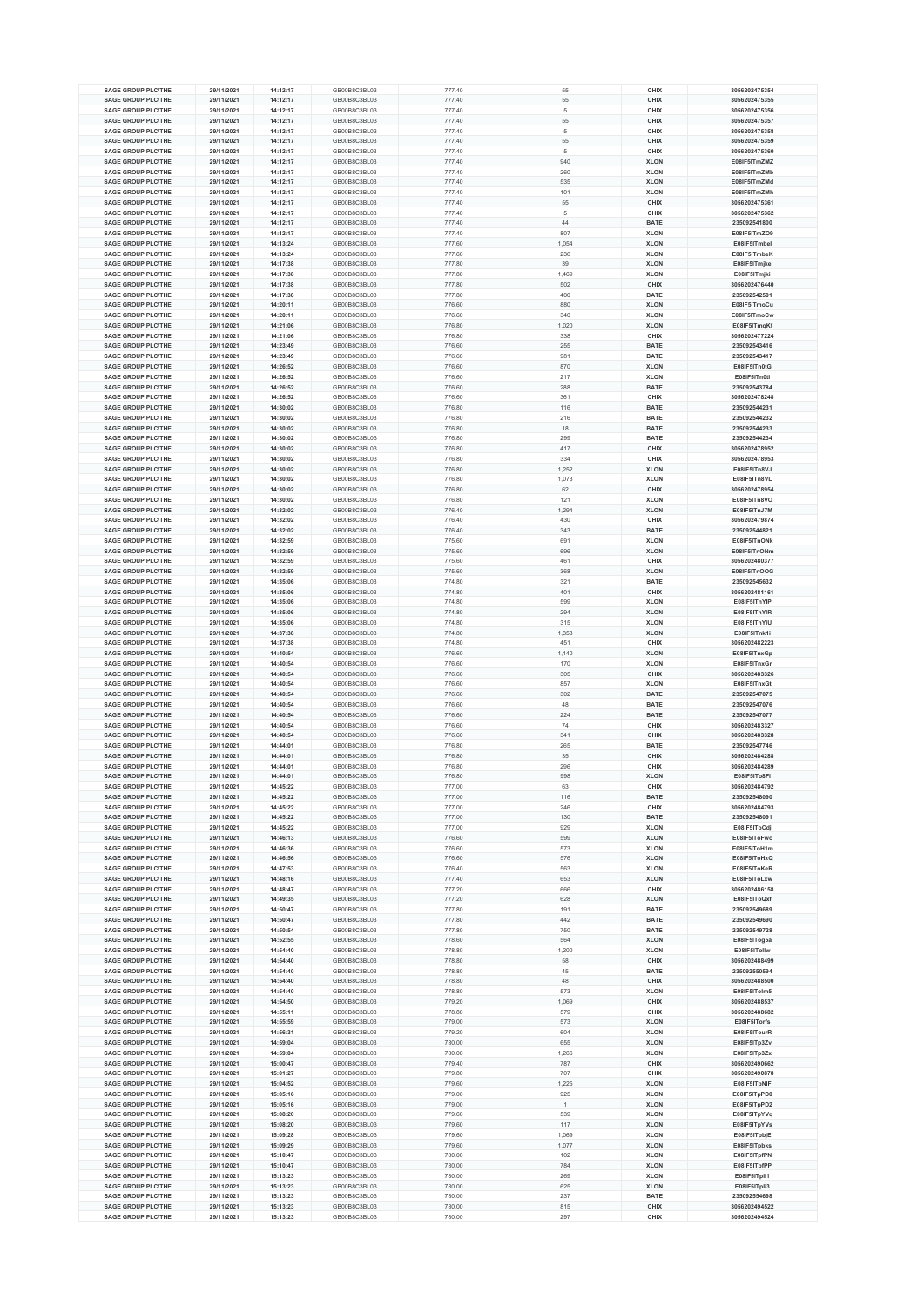| <b>SAGE GROUP PLC/THE</b>                              |                          |                      |              |                  |              |                     |                                |
|--------------------------------------------------------|--------------------------|----------------------|--------------|------------------|--------------|---------------------|--------------------------------|
|                                                        | 29/11/2021               | 14:12:17             | GB00B8C3BL03 | 777.40           | 55           | CHIX                | 3056202475354                  |
| <b>SAGE GROUP PLC/THE</b>                              | 29/11/2021               | 14:12:17             | GB00B8C3BL03 | 777.40           | 55           | CHIX                | 3056202475355                  |
| <b>SAGE GROUP PLC/THE</b>                              | 29/11/2021               | 14:12:17             | GB00B8C3BL03 | 777.40           | 5            | CHIX                | 3056202475356                  |
| <b>SAGE GROUP PLC/THE</b>                              | 29/11/2021               | 14:12:17             | GB00B8C3BL03 | 777.40           | 55           | CHIX                | 3056202475357                  |
| <b>SAGE GROUP PLC/THE</b>                              | 29/11/2021               | 14:12:17             | GB00B8C3BL03 | 777.40           | 5            | CHIX                | 3056202475358                  |
| <b>SAGE GROUP PLC/THE</b>                              | 29/11/2021               | 14:12:17             | GB00B8C3BL03 | 777.40           | 55           | CHIX                | 3056202475359                  |
| <b>SAGE GROUP PLC/THE</b>                              | 29/11/2021               | 14:12:17             | GB00B8C3BL03 | 777.40           | 5            | CHIX                | 3056202475360                  |
|                                                        |                          |                      |              |                  |              |                     |                                |
| <b>SAGE GROUP PLC/THE</b>                              | 29/11/2021               | 14:12:17             | GB00B8C3BL03 | 777.40           | 940          | <b>XLON</b>         | E08IF5ITmZMZ                   |
| <b>SAGE GROUP PLC/THE</b>                              | 29/11/2021               | 14:12:17             | GB00B8C3BL03 | 777.40           | 260          | <b>XLON</b>         | E08IF5ITmZMb                   |
| <b>SAGE GROUP PLC/THE</b>                              | 29/11/2021               | 14:12:17             | GB00B8C3BL03 | 777.40           | 535          | <b>XLON</b>         | E08IF5ITmZMd                   |
| <b>SAGE GROUP PLC/THE</b>                              | 29/11/2021               | 14:12:17             | GB00B8C3BL03 | 777.40           | 101          | <b>XLON</b>         | E08IF5ITmZMh                   |
| <b>SAGE GROUP PLC/THE</b>                              | 29/11/2021               | 14:12:17             | GB00B8C3BL03 | 777.40           | 55           | CHIX                | 3056202475361                  |
| <b>SAGE GROUP PLC/THE</b>                              | 29/11/2021               | 14:12:17             | GB00B8C3BL03 | 777.40           | 5            | CHIX                | 3056202475362                  |
| <b>SAGE GROUP PLC/THE</b>                              | 29/11/2021               | 14:12:17             | GB00B8C3BL03 | 777.40           | 44           | <b>BATE</b>         | 235092541800                   |
| <b>SAGE GROUP PLC/THE</b>                              | 29/11/2021               | 14:12:17             | GB00B8C3BL03 | 777.40           | 807          | <b>XLON</b>         | E08IF5ITmZO9                   |
| <b>SAGE GROUP PLC/THE</b>                              | 29/11/2021               | 14:13:24             | GB00B8C3BL03 | 777.60           | 1,054        | <b>XLON</b>         | E08IF5ITmbel                   |
| <b>SAGE GROUP PLC/THE</b>                              | 29/11/2021               | 14:13:24             | GB00B8C3BL03 | 777.60           | 236          | <b>XLON</b>         | E08IF5ITmbeK                   |
| <b>SAGE GROUP PLC/THE</b>                              | 29/11/2021               | 14:17:38             | GB00B8C3BL03 | 777.80           | 39           | <b>XLON</b>         | E08IF5ITmjke                   |
| <b>SAGE GROUP PLC/THE</b>                              |                          |                      | GB00B8C3BL03 |                  |              |                     |                                |
| <b>SAGE GROUP PLC/THE</b>                              | 29/11/2021               | 14:17:38             |              | 777.80           | 1,469        | <b>XLON</b>         | E08IF5ITmjki                   |
|                                                        | 29/11/2021               | 14:17:38             | GB00B8C3BL03 | 777.80           | 502          | CHIX                | 3056202476440                  |
| <b>SAGE GROUP PLC/THE</b>                              | 29/11/2021               | 14:17:38             | GB00B8C3BL03 | 777.80           | 400          | <b>BATE</b>         | 235092542501                   |
| <b>SAGE GROUP PLC/THE</b>                              | 29/11/2021               | 14:20:11             | GB00B8C3BL03 | 776.60           | 880          | <b>XLON</b>         | E08IF5ITmoCu                   |
| <b>SAGE GROUP PLC/THE</b>                              | 29/11/2021               | 14:20:11             | GB00B8C3BL03 | 776.60           | 340          | <b>XLON</b>         | E08IF5ITmoCw                   |
| <b>SAGE GROUP PLC/THE</b>                              | 29/11/2021               | 14:21:06             | GB00B8C3BL03 | 776.80           | 1,020        | <b>XLON</b>         | E08IF5ITmqKf                   |
| <b>SAGE GROUP PLC/THE</b>                              | 29/11/2021               | 14:21:06             | GB00B8C3BL03 | 776.80           | 338          | CHIX                | 3056202477224                  |
| <b>SAGE GROUP PLC/THE</b>                              | 29/11/2021               | 14:23:49             | GB00B8C3BL03 | 776.60           | 255          | <b>BATE</b>         | 235092543416                   |
| <b>SAGE GROUP PLC/THE</b>                              | 29/11/2021               | 14:23:49             | GB00B8C3BL03 | 776.60           | 981          | <b>BATE</b>         | 235092543417                   |
| <b>SAGE GROUP PLC/THE</b>                              | 29/11/2021               | 14:26:52             | GB00B8C3BL03 | 776.60           | 870          | <b>XLON</b>         | E08IF5ITn0tG                   |
| <b>SAGE GROUP PLC/THE</b>                              | 29/11/2021               | 14:26:52             | GB00B8C3BL03 | 776.60           | 217          | <b>XLON</b>         | E08IF5ITn0tl                   |
| <b>SAGE GROUP PLC/THE</b>                              | 29/11/2021               | 14:26:52             | GB00B8C3BL03 | 776.60           | 288          | <b>BATE</b>         | 235092543784                   |
| <b>SAGE GROUP PLC/THE</b>                              | 29/11/2021               | 14:26:52             | GB00B8C3BL03 | 776.60           | 361          | CHIX                | 3056202478248                  |
| <b>SAGE GROUP PLC/THE</b>                              | 29/11/2021               | 14:30:02             | GB00B8C3BL03 | 776.80           | 116          | <b>BATE</b>         | 235092544231                   |
| <b>SAGE GROUP PLC/THE</b>                              | 29/11/2021               | 14:30:02             | GB00B8C3BL03 | 776.80           | 216          | <b>BATE</b>         | 235092544232                   |
| <b>SAGE GROUP PLC/THE</b>                              | 29/11/2021               | 14:30:02             | GB00B8C3BL03 | 776.80           | 18           | <b>BATE</b>         | 235092544233                   |
| <b>SAGE GROUP PLC/THE</b>                              | 29/11/2021               | 14:30:02             | GB00B8C3BL03 | 776.80           | 299          | <b>BATE</b>         | 235092544234                   |
|                                                        |                          |                      |              |                  |              |                     |                                |
| <b>SAGE GROUP PLC/THE</b>                              | 29/11/2021               | 14:30:02             | GB00B8C3BL03 | 776.80           | 417          | CHIX                | 3056202478952                  |
| <b>SAGE GROUP PLC/THE</b>                              | 29/11/2021               | 14:30:02             | GB00B8C3BL03 | 776.80           | 334          | CHIX                | 3056202478953                  |
| <b>SAGE GROUP PLC/THE</b>                              | 29/11/2021               | 14:30:02             | GB00B8C3BL03 | 776.80           | 1,252        | <b>XLON</b>         | E08IF5ITn8VJ                   |
| <b>SAGE GROUP PLC/THE</b>                              | 29/11/2021               | 14:30:02             | GB00B8C3BL03 | 776.80           | 1,073        | <b>XLON</b>         | E08IF5ITn8VL                   |
| <b>SAGE GROUP PLC/THE</b>                              | 29/11/2021               | 14:30:02             | GB00B8C3BL03 | 776.80           | 62           | CHIX                | 3056202478954                  |
| <b>SAGE GROUP PLC/THE</b>                              | 29/11/2021               | 14:30:02             | GB00B8C3BL03 | 776.80           | 121          | <b>XLON</b>         | E08IF5ITn8VO                   |
| <b>SAGE GROUP PLC/THE</b>                              | 29/11/2021               | 14:32:02             | GB00B8C3BL03 | 776.40           | 1,294        | <b>XLON</b>         | E08IF5ITn.J7M                  |
| <b>SAGE GROUP PLC/THE</b>                              | 29/11/2021               | 14:32:02             | GB00B8C3BL03 | 776.40           | 430          | CHIX                | 3056202479874                  |
| <b>SAGE GROUP PLC/THE</b>                              | 29/11/2021               | 14:32:02             | GB00B8C3BL03 | 776.40           | 343          | <b>BATE</b>         | 235092544821                   |
| <b>SAGE GROUP PLC/THE</b>                              | 29/11/2021               | 14:32:59             | GB00B8C3BL03 | 775.60           | 691          | <b>XLON</b>         | E08IF5ITnONk                   |
| <b>SAGE GROUP PLC/THE</b>                              | 29/11/2021               | 14:32:59             | GB00B8C3BL03 | 775.60           | 696          | <b>XLON</b>         | E08IF5ITnONm                   |
| <b>SAGE GROUP PLC/THE</b>                              | 29/11/2021               | 14:32:59             | GB00B8C3BL03 | 775.60           | 461          | CHIX                | 3056202480377                  |
| <b>SAGE GROUP PLC/THE</b>                              | 29/11/2021               | 14:32:59             | GB00B8C3BL03 | 775.60           | 368          | <b>XLON</b>         | E08IF5ITnOOG                   |
| <b>SAGE GROUP PLC/THE</b>                              | 29/11/2021               | 14:35:06             | GB00B8C3BL03 | 774.80           | 321          | <b>BATE</b>         | 235092545632                   |
| <b>SAGE GROUP PLC/THE</b>                              | 29/11/2021               | 14:35:06             | GB00B8C3BL03 | 774.80           | 401          | CHIX                | 3056202481161                  |
|                                                        |                          |                      |              |                  |              |                     |                                |
| <b>SAGE GROUP PLC/THE</b>                              | 29/11/2021               | 14:35:06             | GB00B8C3BL03 | 774.80           | 599          | <b>XLON</b>         | E08IF5ITnYIP                   |
| <b>SAGE GROUP PLC/THE</b>                              | 29/11/2021               | 14:35:06             | GB00B8C3BL03 | 774.80           | 294          | <b>XLON</b>         | E08IF5ITnYIR                   |
| <b>SAGE GROUP PLC/THE</b>                              | 29/11/2021               | 14:35:06             | GB00B8C3BL03 |                  | 315          | <b>XLON</b>         | E08IF5ITnYIU                   |
|                                                        |                          |                      |              | 774.80           |              |                     |                                |
| <b>SAGE GROUP PLC/THE</b>                              | 29/11/2021               | 14:37:38             | GB00B8C3BL03 | 774.80           | 1,358        | <b>XLON</b>         | E08IF5ITnk1i                   |
| <b>SAGE GROUP PLC/THE</b>                              | 29/11/2021               | 14:37:38             | GB00B8C3BL03 | 774.80           | 451          | CHIX                | 3056202482223                  |
| <b>SAGE GROUP PLC/THE</b>                              | 29/11/2021               | 14:40:54             | GB00B8C3BL03 | 776.60           | 1,140        | <b>XLON</b>         | E08IF5ITnxGp                   |
| <b>SAGE GROUP PLC/THE</b>                              | 29/11/2021               | 14:40:54             | GB00B8C3BL03 | 776.60           | 170          | <b>XLON</b>         | E08IF5ITnxGr                   |
| <b>SAGE GROUP PLC/THE</b>                              | 29/11/2021               | 14:40:54             | GB00B8C3BL03 | 776.60           | 305          | CHIX                | 3056202483326                  |
| <b>SAGE GROUP PLC/THE</b>                              | 29/11/2021               | 14:40:54             | GB00B8C3BL03 | 776.60           | 857          | <b>XLON</b>         | E08IF5ITnxGt                   |
| <b>SAGE GROUP PLC/THE</b>                              | 29/11/2021               | 14:40:54             | GB00B8C3BL03 | 776.60           | 302          | <b>BATE</b>         | 235092547075                   |
| <b>SAGE GROUP PLC/THE</b>                              | 29/11/2021               | 14:40:54             | GB00B8C3BL03 | 776.60           | 48           | <b>BATE</b>         | 235092547076                   |
| <b>SAGE GROUP PLC/THE</b>                              | 29/11/2021               | 14:40:54             | GB00B8C3BL03 | 776.60           | 224          | <b>BATE</b>         | 235092547077                   |
| <b>SAGE GROUP PLC/THE</b>                              | 29/11/2021               | 14:40:54             | GB00B8C3BL03 |                  | 74           | CHIX                | 3056202483327                  |
|                                                        |                          |                      |              | 776.60           |              |                     |                                |
| <b>SAGE GROUP PLC/THE</b>                              | 29/11/2021               | 14:40:54             | GB00B8C3BL03 | 776.60           | 341          | CHIX                | 3056202483328<br>235092547746  |
| <b>SAGE GROUP PLC/THE</b><br><b>SAGE GROUP PLC/THE</b> | 29/11/2021               | 14:44:01<br>14:44:01 | GB00B8C3BL03 | 776.80           | 265          | <b>BATE</b>         |                                |
| <b>SAGE GROUP PLC/THE</b>                              | 29/11/2021<br>29/11/2021 | 14:44:01             | GB00B8C3BL03 | 776.80<br>776.80 | 35<br>296    | <b>CHIX</b><br>CHIX | 3056202484288<br>3056202484289 |
|                                                        |                          |                      | GB00B8C3BL03 |                  |              |                     |                                |
| <b>SAGE GROUP PLC/THE</b>                              | 29/11/2021               | 14:44:01             | GB00B8C3BL03 | 776.80           | 998          | <b>XLON</b>         | E08IF5ITo8Fi                   |
| <b>SAGE GROUP PLC/THE</b>                              | 29/11/2021               | 14:45:22             | GB00B8C3BL03 | 777.00           | 63           | CHIX                | 3056202484792                  |
| <b>SAGE GROUP PLC/THE</b>                              | 29/11/2021               | 14:45:22             | GB00B8C3BL03 | 777.00           | 116          | <b>BATE</b>         | 235092548090                   |
| <b>SAGE GROUP PLC/THE</b>                              | 29/11/2021               | 14:45:22             | GB00B8C3BL03 | 777.00           | 246          | CHIX                | 3056202484793                  |
| <b>SAGE GROUP PLC/THE</b>                              | 29/11/2021               | 14:45:22             | GB00B8C3BL03 | 777.00           | 130          | <b>BATE</b>         | 235092548091                   |
| <b>SAGE GROUP PLC/THE</b>                              | 29/11/2021               | 14:45:22             | GB00B8C3BL03 | 777.00           | 929          | <b>XLON</b>         | E08IF5IToCdj                   |
| <b>SAGE GROUP PLC/THE</b>                              | 29/11/2021               | 14:46:13             | GB00B8C3BL03 | 776.60           | 599          | <b>XLON</b>         | E08IF5IToFwo                   |
| <b>SAGE GROUP PLC/THE</b>                              | 29/11/2021               | 14:46:36             | GB00B8C3BL03 | 776.60           | 573          | <b>XLON</b>         | E08IF5IToH1m                   |
| <b>SAGE GROUP PLC/THE</b>                              | 29/11/2021               | 14:46:56             | GB00B8C3BL03 | 776.60           | 576          | <b>XLON</b>         | E08IF5IToHxQ                   |
| <b>SAGE GROUP PLC/THE</b>                              | 29/11/2021               | 14:47:53             | GB00B8C3BL03 | 776.40           | 563          | <b>XLON</b>         | E08IF5IToKeR                   |
| <b>SAGE GROUP PLC/THE</b>                              | 29/11/2021               | 14:48:16             | GB00B8C3BL03 | 777.40           | 653          | <b>XLON</b>         | E08IF5IToLxw                   |
| <b>SAGE GROUP PLC/THE</b>                              | 29/11/2021               | 14:48:47             | GB00B8C3BL03 | 777.20           | 666          | CHIX                | 3056202486158                  |
| <b>SAGE GROUP PLC/THE</b>                              | 29/11/2021               | 14:49:35             | GB00B8C3BL03 | 777.20           | 628          | <b>XLON</b>         | E08IF5IToQxf                   |
| <b>SAGE GROUP PLC/THE</b>                              | 29/11/2021               | 14:50:47             | GB00B8C3BL03 | 777.80           | 191          | <b>BATE</b>         | 235092549689                   |
| <b>SAGE GROUP PLC/THE</b>                              | 29/11/2021               | 14:50:47             | GB00B8C3BL03 | 777.80           | 442          | <b>BATE</b>         | 235092549690                   |
| <b>SAGE GROUP PLC/THE</b>                              | 29/11/2021               | 14:50:54             | GB00B8C3BL03 | 777.80           | 750          | <b>BATE</b>         | 235092549728                   |
| <b>SAGE GROUP PLC/THE</b>                              | 29/11/2021               | 14:52:55             | GB00B8C3BL03 | 778.60           | 564          | <b>XLON</b>         | E08IF5ITog5a                   |
| <b>SAGE GROUP PLC/THE</b>                              | 29/11/2021               | 14:54:40             | GB00B8C3BL03 | 778.80           | 1,200        | <b>XLON</b>         | E08IF5ITollw                   |
| <b>SAGE GROUP PLC/THE</b>                              | 29/11/2021               | 14:54:40             | GB00B8C3BL03 | 778.80           | 58           | CHIX                | 3056202488499                  |
| <b>SAGE GROUP PLC/THE</b>                              | 29/11/2021               | 14:54:40             | GB00B8C3BL03 | 778.80           | 45           | <b>BATE</b>         | 235092550594                   |
| <b>SAGE GROUP PLC/THE</b>                              | 29/11/2021               | 14:54:40             | GB00B8C3BL03 | 778.80           | 48           | <b>CHIX</b>         | 3056202488500                  |
| <b>SAGE GROUP PLC/THE</b>                              | 29/11/2021               | 14:54:40             | GB00B8C3BL03 | 778.80           | 573          | <b>XLON</b>         | E08IF5ITolm5                   |
| <b>SAGE GROUP PLC/THE</b>                              |                          |                      | GB00B8C3BL03 |                  |              |                     |                                |
| <b>SAGE GROUP PLC/THE</b>                              | 29/11/2021<br>29/11/2021 | 14:54:50<br>14:55:11 | GB00B8C3BL03 | 779.20<br>778.80 | 1,069<br>579 | CHIX<br>CHIX        | 3056202488537<br>3056202488682 |
| <b>SAGE GROUP PLC/THE</b>                              |                          | 14:55:59             | GB00B8C3BL03 |                  | 573          | <b>XLON</b>         | E08IF5ITorfs                   |
|                                                        | 29/11/2021               |                      |              | 779.00           |              |                     |                                |
| <b>SAGE GROUP PLC/THE</b>                              | 29/11/2021               | 14:56:31             | GB00B8C3BL03 | 779.20           | 604          | <b>XLON</b>         | E08IF5ITourR                   |
| <b>SAGE GROUP PLC/THE</b>                              | 29/11/2021               | 14:59:04             | GB00B8C3BL03 | 780.00           | 655          | <b>XLON</b>         | E08IF5ITp3Zv                   |
| <b>SAGE GROUP PLC/THE</b>                              | 29/11/2021               | 14:59:04             | GB00B8C3BL03 | 780.00           | 1,266        | <b>XLON</b>         | E08IF5ITp3Zx                   |
| <b>SAGE GROUP PLC/THE</b>                              | 29/11/2021               | 15:00:47             | GB00B8C3BL03 | 779.40           | 787          | CHIX                | 3056202490662                  |
| <b>SAGE GROUP PLC/THE</b>                              | 29/11/2021               | 15:01:27             | GB00B8C3BL03 | 779.80           | 707          | CHIX                | 3056202490878                  |
| <b>SAGE GROUP PLC/THE</b>                              | 29/11/2021               | 15:04:52             | GB00B8C3BL03 | 779.60           | 1,225        | <b>XLON</b>         | E08IF5ITpNIF                   |
| <b>SAGE GROUP PLC/THE</b>                              | 29/11/2021               | 15:05:16             | GB00B8C3BL03 | 779.00           | 925          | <b>XLON</b>         | E08IF5ITpPD0                   |
| <b>SAGE GROUP PLC/THE</b>                              | 29/11/2021               | 15:05:16             | GB00B8C3BL03 | 779.00           | 1            | <b>XLON</b>         | E08IF5ITpPD2                   |
| <b>SAGE GROUP PLC/THE</b>                              | 29/11/2021               | 15:08:20             | GB00B8C3BL03 | 779.60           | 539          | <b>XLON</b>         | E08IF5ITpYVq                   |
| <b>SAGE GROUP PLC/THE</b>                              | 29/11/2021               | 15:08:20             | GB00B8C3BL03 | 779.60           | 117          | <b>XLON</b>         | E08IF5ITpYVs                   |
| <b>SAGE GROUP PLC/THE</b>                              | 29/11/2021               | 15:09:28             | GB00B8C3BL03 | 779.60           | 1,069        | <b>XLON</b>         | E08IF5ITpbjE                   |
| <b>SAGE GROUP PLC/THE</b>                              | 29/11/2021               | 15:09:29             | GB00B8C3BL03 | 779.60           | 1,077        | <b>XLON</b>         | E08IF5ITpbks                   |
| <b>SAGE GROUP PLC/THE</b>                              | 29/11/2021               | 15:10:47             | GB00B8C3BL03 | 780.00           | 102          | <b>XLON</b>         | E08IF5ITpfPN                   |
| <b>SAGE GROUP PLC/THE</b>                              | 29/11/2021               | 15:10:47             | GB00B8C3BL03 | 780.00           | 784          | <b>XLON</b>         | E08IF5ITpfPP                   |
| <b>SAGE GROUP PLC/THE</b>                              | 29/11/2021               | 15:13:23             | GB00B8C3BL03 | 780.00           | 269          | <b>XLON</b>         | E08IF5ITpli1                   |
| <b>SAGE GROUP PLC/THE</b>                              | 29/11/2021               | 15:13:23             | GB00B8C3BL03 | 780.00           | 625          | <b>XLON</b>         | E08IF5ITpli3                   |
| <b>SAGE GROUP PLC/THE</b>                              | 29/11/2021               | 15:13:23             | GB00B8C3BL03 | 780.00           | 237          | <b>BATE</b>         | 235092554698                   |
| <b>SAGE GROUP PLC/THE</b>                              | 29/11/2021               | 15:13:23             | GB00B8C3BL03 | 780.00           | 815          | CHIX                | 3056202494522                  |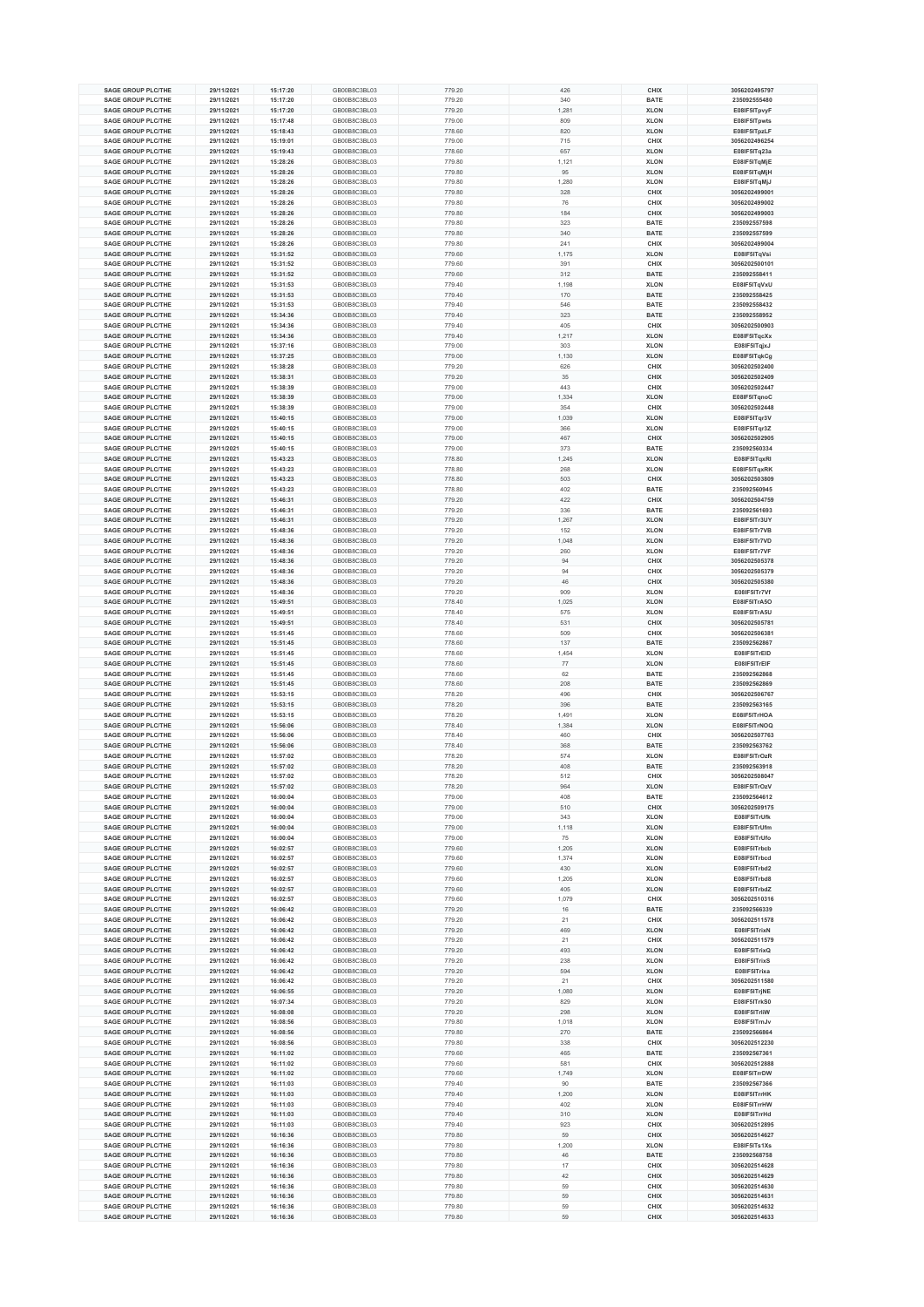| <b>SAGE GROUP PLC/THE</b>                              | 29/11/2021               | 15:17:20             | GB00B8C3BL03                 |                  | 426      | CHIX         | 3056202495797                  |
|--------------------------------------------------------|--------------------------|----------------------|------------------------------|------------------|----------|--------------|--------------------------------|
|                                                        |                          |                      |                              | 779.20           |          |              |                                |
| <b>SAGE GROUP PLC/THE</b>                              | 29/11/2021               | 15:17:20             | GB00B8C3BL03                 | 779.20           | 340      | <b>BATE</b>  | 235092555480                   |
| SAGE GROUP PLC/THE                                     | 29/11/2021               | 15:17:20             | GB00B8C3BL03                 | 779.20           | 1,281    | <b>XLON</b>  | E08IF5ITpvyF                   |
| <b>SAGE GROUP PLC/THE</b>                              | 29/11/2021               | 15:17:48             | GB00B8C3BL03                 | 779.00           | 809      | <b>XLON</b>  | E08IF5ITpwts                   |
| SAGE GROUP PLC/THE                                     | 29/11/2021               | 15:18:43             | GB00B8C3BL03                 | 778.60           | 820      | <b>XLON</b>  | E08IF5ITpzLF                   |
| SAGE GROUP PLC/THE                                     | 29/11/2021               | 15:19:01             | GB00B8C3BL03                 | 779.00           | 715      | CHIX         | 3056202496254                  |
| <b>SAGE GROUP PLC/THE</b>                              | 29/11/2021               | 15:19:43             | GB00B8C3BL03                 | 778.60           | 657      | <b>XLON</b>  | E08IF5ITq23a                   |
| <b>SAGE GROUP PLC/THE</b>                              | 29/11/2021               | 15:28:26             | GB00B8C3BL03                 | 779.80           | 1,121    | <b>XLON</b>  | E08IF5ITqMjE                   |
|                                                        |                          |                      |                              |                  |          |              |                                |
| <b>SAGE GROUP PLC/THE</b>                              | 29/11/2021               | 15:28:26             | GB00B8C3BL03                 | 779.80           | 95       | <b>XLON</b>  | E08IF5ITqMjH                   |
| SAGE GROUP PLC/THE                                     | 29/11/2021               | 15:28:26             | GB00B8C3BL03                 | 779.80           | 1,280    | <b>XLON</b>  | E08IF5ITqMjJ                   |
| <b>SAGE GROUP PLC/THE</b>                              | 29/11/2021               | 15:28:26             | GB00B8C3BL03                 | 779.80           | 328      | CHIX         | 3056202499001                  |
| <b>SAGE GROUP PLC/THE</b>                              | 29/11/2021               | 15:28:26             | GB00B8C3BL03                 | 779.80           | 76       | CHIX         | 3056202499002                  |
| <b>SAGE GROUP PLC/THE</b>                              | 29/11/2021               | 15:28:26             | GB00B8C3BL03                 | 779.80           | 184      | CHIX         | 3056202499003                  |
| <b>SAGE GROUP PLC/THE</b>                              | 29/11/2021               | 15:28:26             | GB00B8C3BL03                 | 779.80           | 323      | <b>BATE</b>  | 235092557598                   |
| <b>SAGE GROUP PLC/THE</b>                              | 29/11/2021               | 15:28:26             | GB00B8C3BL03                 | 779.80           | 340      | <b>BATE</b>  | 235092557599                   |
|                                                        |                          |                      |                              |                  |          |              |                                |
| <b>SAGE GROUP PLC/THE</b>                              | 29/11/2021               | 15:28:26             | GB00B8C3BL03                 | 779.80           | 241      | CHIX         | 3056202499004                  |
| <b>SAGE GROUP PLC/THE</b>                              | 29/11/2021               | 15:31:52             | GB00B8C3BL03                 | 779.60           | 1,175    | <b>XLON</b>  | E08IF5ITqVsi                   |
| <b>SAGE GROUP PLC/THE</b>                              | 29/11/2021               | 15:31:52             | GB00B8C3BL03                 | 779.60           | 391      | CHIX         | 3056202500101                  |
| <b>SAGE GROUP PLC/THE</b>                              | 29/11/2021               | 15:31:52             | GB00B8C3BL03                 | 779.60           | 312      | <b>BATE</b>  | 235092558411                   |
| <b>SAGE GROUP PLC/THE</b>                              | 29/11/2021               | 15:31:53             | GB00B8C3BL03                 | 779.40           | 1,198    | <b>XLON</b>  | E08IF5ITqVxU                   |
| <b>SAGE GROUP PLC/THE</b>                              | 29/11/2021               | 15:31:53             | GB00B8C3BL03                 | 779.40           | 170      | <b>BATE</b>  | 235092558425                   |
| <b>SAGE GROUP PLC/THE</b>                              | 29/11/2021               | 15:31:53             | GB00B8C3BL03                 | 779.40           | 546      | <b>BATE</b>  | 235092558432                   |
| <b>SAGE GROUP PLC/THE</b>                              | 29/11/2021               | 15:34:36             | GB00B8C3BL03                 |                  | 323      | <b>BATE</b>  | 235092558952                   |
|                                                        |                          |                      |                              | 779.40           |          |              |                                |
| <b>SAGE GROUP PLC/THE</b>                              | 29/11/2021               | 15:34:36             | GB00B8C3BL03                 | 779.40           | 405      | CHIX         | 3056202500903                  |
| <b>SAGE GROUP PLC/THE</b>                              | 29/11/2021               | 15:34:36             | GB00B8C3BL03                 | 779.40           | 1,217    | <b>XLON</b>  | E08IF5ITqcXx                   |
| <b>SAGE GROUP PLC/THE</b>                              | 29/11/2021               | 15:37:16             | GB00B8C3BL03                 | 779.00           | 303      | <b>XLON</b>  | E08IF5ITqjxJ                   |
| <b>SAGE GROUP PLC/THE</b>                              | 29/11/2021               | 15:37:25             | GB00B8C3BL03                 | 779.00           | 1,130    | <b>XLON</b>  | E08IF5ITqkCg                   |
| <b>SAGE GROUP PLC/THE</b>                              | 29/11/2021               | 15:38:28             | GB00B8C3BL03                 | 779.20           | 626      | CHIX         | 3056202502400                  |
| <b>SAGE GROUP PLC/THE</b>                              | 29/11/2021               | 15:38:31             | GB00B8C3BL03                 | 779.20           | 35       | CHIX         | 3056202502409                  |
| <b>SAGE GROUP PLC/THE</b>                              | 29/11/2021               | 15:38:39             | GB00B8C3BL03                 | 779.00           | 443      | CHIX         | 3056202502447                  |
| <b>SAGE GROUP PLC/THE</b>                              |                          |                      |                              |                  |          |              |                                |
|                                                        | 29/11/2021               | 15:38:39             | GB00B8C3BL03                 | 779.00           | 1,334    | <b>XLON</b>  | E08IF5ITqnoC                   |
| <b>SAGE GROUP PLC/THE</b>                              | 29/11/2021               | 15:38:39             | GB00B8C3BL03                 | 779.00           | 354      | CHIX         | 3056202502448                  |
| <b>SAGE GROUP PLC/THE</b>                              | 29/11/2021               | 15:40:15             | GB00B8C3BL03                 | 779.00           | 1,039    | <b>XLON</b>  | E08IF5ITqr3V                   |
| <b>SAGE GROUP PLC/THE</b>                              | 29/11/2021               | 15:40:15             | GB00B8C3BL03                 | 779.00           | 366      | <b>XLON</b>  | E08IF5ITqr3Z                   |
| <b>SAGE GROUP PLC/THE</b>                              | 29/11/2021               | 15:40:15             | GB00B8C3BL03                 | 779.00           | 467      | CHIX         | 3056202502905                  |
| <b>SAGE GROUP PLC/THE</b>                              | 29/11/2021               | 15:40:15             | GB00B8C3BL03                 | 779.00           | 373      | <b>BATE</b>  | 235092560334                   |
| <b>SAGE GROUP PLC/THE</b>                              | 29/11/2021               | 15:43:23             | GB00B8C3BL03                 | 778.80           | 1,245    | <b>XLON</b>  | E08IF5ITqxRI                   |
| SAGE GROUP PLC/THE                                     | 29/11/2021               | 15:43:23             | GB00B8C3BL03                 | 778.80           | 268      | <b>XLON</b>  | E08IF5ITqxRK                   |
| <b>SAGE GROUP PLC/THE</b>                              | 29/11/2021               | 15:43:23             | GB00B8C3BL03                 | 778.80           | 503      | CHIX         | 3056202503809                  |
|                                                        |                          |                      |                              |                  |          |              |                                |
| <b>SAGE GROUP PLC/THE</b>                              | 29/11/2021               | 15:43:23             | GB00B8C3BL03                 | 778.80           | 402      | <b>BATE</b>  | 235092560945                   |
| <b>SAGE GROUP PLC/THE</b>                              | 29/11/2021               | 15:46:31             | GB00B8C3BL03                 | 779.20           | 422      | CHIX         | 3056202504759                  |
| <b>SAGE GROUP PLC/THE</b>                              | 29/11/2021               | 15:46:31             | GB00B8C3BL03                 | 779.20           | 336      | <b>BATE</b>  | 235092561693                   |
| SAGE GROUP PLC/THE                                     | 29/11/2021               | 15:46:31             | GB00B8C3BL03                 | 779.20           | 1,267    | <b>XLON</b>  | E08IF5ITr3UY                   |
| <b>SAGE GROUP PLC/THE</b>                              | 29/11/2021               | 15:48:36             | GB00B8C3BL03                 | 779.20           | 152      | <b>XLON</b>  | E08IF5ITr7VB                   |
| <b>SAGE GROUP PLC/THE</b>                              | 29/11/2021               | 15:48:36             | GB00B8C3BL03                 | 779.20           | 1,048    | <b>XLON</b>  | E08IF5ITr7VD                   |
| <b>SAGE GROUP PLC/THE</b>                              | 29/11/2021               | 15:48:36             | GB00B8C3BL03                 | 779.20           | 260      | <b>XLON</b>  | E08IF5ITr7VF                   |
|                                                        |                          |                      |                              |                  |          |              |                                |
| <b>SAGE GROUP PLC/THE</b>                              | 29/11/2021               | 15:48:36             | GB00B8C3BL03                 | 779.20           | 94       | CHIX         | 3056202505378                  |
| <b>SAGE GROUP PLC/THE</b>                              | 29/11/2021               | 15:48:36             | GB00B8C3BL03                 | 779.20           | 94       | CHIX         | 3056202505379                  |
| <b>SAGE GROUP PLC/THE</b>                              | 29/11/2021               | 15:48:36             | GB00B8C3BL03                 | 779.20           | 46       | CHIX         | 3056202505380                  |
| <b>SAGE GROUP PLC/THE</b>                              | 29/11/2021               | 15:48:36             | GB00B8C3BL03                 | 779.20           | 909      | <b>XLON</b>  | E08IF5ITr7Vf                   |
| <b>SAGE GROUP PLC/THE</b>                              | 29/11/2021               | 15:49:51             | GB00B8C3BL03                 | 778.40           | 1,025    | <b>XLON</b>  | E08IF5ITrA5O                   |
| <b>SAGE GROUP PLC/THE</b>                              | 29/11/2021               | 15:49:51             | GB00B8C3BL03                 | 778.40           | 575      | <b>XLON</b>  | E08IF5ITrA5U                   |
| <b>SAGE GROUP PLC/THE</b>                              | 29/11/2021               | 15:49:51             | GB00B8C3BL03                 | 778.40           | 531      | CHIX         | 3056202505781                  |
| <b>SAGE GROUP PLC/THE</b>                              | 29/11/2021               | 15:51:45             | GB00B8C3BL03                 | 778.60           | 509      | CHIX         | 3056202506381                  |
| <b>SAGE GROUP PLC/THE</b>                              | 29/11/2021               | 15:51:45             | GB00B8C3BL03                 | 778.60           | 137      | <b>BATE</b>  | 235092562867                   |
| <b>SAGE GROUP PLC/THE</b>                              | 29/11/2021               | 15:51:45             | GB00B8C3BL03                 |                  |          | <b>XLON</b>  | E08IF5ITrEID                   |
|                                                        |                          |                      |                              | 778.60           | 1,454    |              |                                |
| <b>SAGE GROUP PLC/THE</b>                              | 29/11/2021               | 15:51:45             | GB00B8C3BL03                 | 778.60           | 77       | <b>XLON</b>  | E08IF5ITrEIF                   |
| <b>SAGE GROUP PLC/THE</b>                              | 29/11/2021               | 15:51:45             | GB00B8C3BL03                 | 778.60           | 62       | <b>BATE</b>  | 235092562868                   |
| <b>SAGE GROUP PLC/THE</b>                              | 29/11/2021               | 15:51:45             | GB00B8C3BL03                 | 778.60           | 208      | <b>BATE</b>  | 235092562869                   |
| <b>SAGE GROUP PLC/THE</b>                              | 29/11/2021               | 15:53:15             | GB00B8C3BL03                 | 778.20           | 496      | CHIX         | 3056202506767                  |
| <b>SAGE GROUP PLC/THE</b>                              | 29/11/2021               | 15:53:15             | GB00B8C3BL03                 | 778.20           | 396      | <b>BATE</b>  | 235092563165                   |
| <b>SAGE GROUP PLC/THE</b>                              | 29/11/2021               | 15:53:15             | GB00B8C3BL03                 | 778.20           | 1,491    | <b>XLON</b>  | E08IF5ITrHOA                   |
| SAGE GROUP PLC/THE                                     | 29/11/2021               | 15:56:06             | GB00B8C3BL03                 | 778.40           | 1.384    | <b>XLON</b>  | E08IF5ITrNOO                   |
| <b>SAGE GROUP PLC/THE</b>                              | 29/11/2021               | 15:56:06             | GB00B8C3BL03                 | 778.40           | 460      | CHIX         | 3056202507763                  |
| SAGE GROUP PLC/THE                                     |                          |                      | GB00B8C3BL03                 |                  |          |              |                                |
|                                                        | 29/11/2021               | 15:56:06             |                              | 778.40           | 368      | <b>BATE</b>  | 235092563762                   |
| <b>SAGE GROUP PLC/THE</b>                              | 29/11/2021               | 15:57:02             | GB00B8C3BL03                 | 778.20           | 574      | <b>XLON</b>  | E08IF5ITrOzR                   |
| <b>SAGE GROUP PLC/THE</b>                              | 29/11/2021               | 15:57:02             | GB00B8C3BL03                 | 778.20           | 408      | <b>BATE</b>  | 235092563918                   |
| <b>SAGE GROUP PLC/THE</b>                              | 29/11/2021               | 15:57:02             | GB00B8C3BL03                 | 778.20           | 512      | CHIX         | 3056202508047                  |
| <b>SAGE GROUP PLC/THE</b>                              | 29/11/2021               | 15:57:02             | GB00B8C3BL03                 | 778.20           | 964      | <b>XLON</b>  | E08IF5ITrOzV                   |
| SAGE GROUP PLC/THE                                     | 29/11/2021               | 16:00:04             | GB00B8C3BL03                 | 779.00           | 408      | <b>BATE</b>  | 235092564612                   |
| <b>SAGE GROUP PLC/THE</b>                              | 29/11/2021               | 16:00:04             | GB00B8C3BL03                 | 779.00           | 510      | CHIX         | 3056202509175                  |
| <b>SAGE GROUP PLC/THE</b>                              | 29/11/2021               | 16:00:04             | GB00B8C3BL03                 | 779.00           | 343      | <b>XLON</b>  | E08IF5ITrUfk                   |
| SAGE GROUP PLC/THE                                     | 29/11/2021               | 16:00:04             | GB00B8C3BL03                 | 779.00           | 1,118    | <b>XLON</b>  | E08IF5ITrUfm                   |
|                                                        |                          |                      |                              |                  |          |              |                                |
| <b>SAGE GROUP PLC/THE</b>                              | 29/11/2021               | 16:00:04             | GB00B8C3BL03                 | 779.00           | 75       | <b>XLON</b>  | E08IF5ITrUfo                   |
| <b>SAGE GROUP PLC/THE</b>                              | 29/11/2021               | 16:02:57             | GB00B8C3BL03                 | 779.60           | 1,205    | <b>XLON</b>  | E08IF5ITrbcb                   |
| <b>SAGE GROUP PLC/THE</b>                              | 29/11/2021               | 16:02:57             | GB00B8C3BL03                 | 779.60           | 1,374    | <b>XLON</b>  | E08IF5ITrbcd                   |
| <b>SAGE GROUP PLC/THE</b>                              | 29/11/2021               | 16:02:57             | GB00B8C3BL03                 | 779.60           | 430      | <b>XLON</b>  | E08IF5ITrbd2                   |
| SAGE GROUP PLC/THE                                     | 29/11/2021               | 16:02:57             | GB00B8C3BL03                 | 779.60           | 1,205    | <b>XLON</b>  | E08IF5ITrbd8                   |
| <b>SAGE GROUP PLC/THE</b>                              | 29/11/2021               | 16:02:57             | GB00B8C3BL03                 | 779.60           | 405      | <b>XLON</b>  | E08IF5ITrbdZ                   |
| SAGE GROUP PLC/THE                                     | 29/11/2021               | 16:02:57             | GB00B8C3BL03                 | 779.60           | 1,079    | CHIX         | 3056202510316                  |
| <b>SAGE GROUP PLC/THE</b>                              | 29/11/2021               | 16:06:42             | GB00B8C3BL03                 | 779.20           | 16       | <b>BATE</b>  | 235092566339                   |
| <b>SAGE GROUP PLC/THE</b>                              |                          |                      | GB00B8C3BL03                 |                  |          |              | 3056202511578                  |
|                                                        |                          |                      |                              |                  |          |              |                                |
|                                                        | 29/11/2021               | 16:06:42             |                              | 779.20           | 21       | CHIX         |                                |
| SAGE GROUP PLC/THE                                     | 29/11/2021               | 16:06:42             | GB00B8C3BL03                 | 779.20           | 469      | <b>XLON</b>  | E08IF5ITrixN                   |
| <b>SAGE GROUP PLC/THE</b>                              | 29/11/2021               | 16:06:42             | GB00B8C3BL03                 | 779.20           | 21       | CHIX         | 3056202511579                  |
| SAGE GROUP PLC/THE                                     | 29/11/2021               | 16:06:42             | GB00B8C3BL03                 | 779.20           | 493      | <b>XLON</b>  | E08IF5ITrixQ                   |
| <b>SAGE GROUP PLC/THE</b>                              | 29/11/2021               | 16:06:42             | GB00B8C3BL03                 | 779.20           | 238      | <b>XLON</b>  | E08IF5ITrixS                   |
| <b>SAGE GROUP PLC/THE</b>                              | 29/11/2021               | 16:06:42             | GB00B8C3BL03                 | 779.20           | 594      | <b>XLON</b>  | E08IF5ITrixa                   |
| SAGE GROUP PLC/THE                                     | 29/11/2021               | 16:06:42             | GB00B8C3BL03                 | 779.20           | 21       | CHIX         | 3056202511580                  |
| <b>SAGE GROUP PLC/THE</b>                              | 29/11/2021               | 16:06:55             | GB00B8C3BL03                 | 779.20           | 1,080    | <b>XLON</b>  | E08IF5ITrjNE                   |
| <b>SAGE GROUP PLC/THE</b>                              | 29/11/2021               | 16:07:34             | GB00B8C3BL03                 | 779.20           |          | <b>XLON</b>  | E08IF5ITrkS0                   |
|                                                        |                          |                      |                              |                  | 829      |              |                                |
| <b>SAGE GROUP PLC/THE</b>                              | 29/11/2021               | 16:08:08             | GB00B8C3BL03                 | 779.20           | 298      | <b>XLON</b>  | E08IF5ITrliW                   |
| <b>SAGE GROUP PLC/THE</b>                              | 29/11/2021               | 16:08:56             | GB00B8C3BL03                 | 779.80           | 1,018    | <b>XLON</b>  | E08IF5ITrnJv                   |
| <b>SAGE GROUP PLC/THE</b>                              | 29/11/2021               | 16:08:56             | GB00B8C3BL03                 | 779.80           | 270      | <b>BATE</b>  | 235092566864                   |
| <b>SAGE GROUP PLC/THE</b>                              | 29/11/2021               | 16:08:56             | GB00B8C3BL03                 | 779.80           | 338      | CHIX         | 3056202512230                  |
| <b>SAGE GROUP PLC/THE</b>                              | 29/11/2021               | 16:11:02             | GB00B8C3BL03                 | 779.60           | 465      | <b>BATE</b>  | 235092567361                   |
| <b>SAGE GROUP PLC/THE</b>                              | 29/11/2021               | 16:11:02             | GB00B8C3BL03                 | 779.60           | 581      | CHIX         | 3056202512888                  |
| <b>SAGE GROUP PLC/THE</b>                              | 29/11/2021               | 16:11:02             | GB00B8C3BL03                 | 779.60           | 1,749    | <b>XLON</b>  | E08IF5ITrrDW                   |
| <b>SAGE GROUP PLC/THE</b>                              |                          |                      | GB00B8C3BL03                 |                  | 90       | <b>BATE</b>  |                                |
|                                                        | 29/11/2021               | 16:11:03             |                              | 779.40           |          |              | 235092567366                   |
| <b>SAGE GROUP PLC/THE</b>                              | 29/11/2021               | 16:11:03             | GB00B8C3BL03                 | 779.40           | 1,200    | <b>XLON</b>  | E08IF5ITrrHK                   |
| <b>SAGE GROUP PLC/THE</b>                              | 29/11/2021               | 16:11:03             | GB00B8C3BL03                 | 779.40           | 402      | <b>XLON</b>  | E08IF5ITrrHW                   |
| <b>SAGE GROUP PLC/THE</b>                              | 29/11/2021               | 16:11:03             | GB00B8C3BL03                 | 779.40           | 310      | <b>XLON</b>  | E08IF5ITrrHd                   |
| <b>SAGE GROUP PLC/THE</b>                              | 29/11/2021               | 16:11:03             | GB00B8C3BL03                 | 779.40           | 923      | CHIX         | 3056202512895                  |
| <b>SAGE GROUP PLC/THE</b>                              | 29/11/2021               | 16:16:36             | GB00B8C3BL03                 | 779.80           | 59       | CHIX         | 3056202514627                  |
| <b>SAGE GROUP PLC/THE</b>                              | 29/11/2021               | 16:16:36             | GB00B8C3BL03                 | 779.80           | 1,200    | <b>XLON</b>  | E08IF5ITs1Xs                   |
| <b>SAGE GROUP PLC/THE</b>                              | 29/11/2021               | 16:16:36             | GB00B8C3BL03                 | 779.80           | 46       | <b>BATE</b>  | 235092568758                   |
|                                                        |                          |                      |                              |                  |          |              |                                |
| <b>SAGE GROUP PLC/THE</b>                              | 29/11/2021               | 16:16:36             | GB00B8C3BL03                 | 779.80           | 17       | CHIX         | 3056202514628                  |
| <b>SAGE GROUP PLC/THE</b>                              | 29/11/2021               | 16:16:36             | GB00B8C3BL03                 | 779.80           | 42       | CHIX         | 3056202514629                  |
| <b>SAGE GROUP PLC/THE</b>                              | 29/11/2021               | 16:16:36             | GB00B8C3BL03                 | 779.80           | 59       | CHIX         | 3056202514630                  |
| <b>SAGE GROUP PLC/THE</b>                              | 29/11/2021               | 16:16:36             | GB00B8C3BL03                 | 779.80           | 59       | CHIX         | 3056202514631                  |
| <b>SAGE GROUP PLC/THE</b><br><b>SAGE GROUP PLC/THE</b> | 29/11/2021<br>29/11/2021 | 16:16:36<br>16:16:36 | GB00B8C3BL03<br>GB00B8C3BL03 | 779.80<br>779.80 | 59<br>59 | CHIX<br>CHIX | 3056202514632<br>3056202514633 |